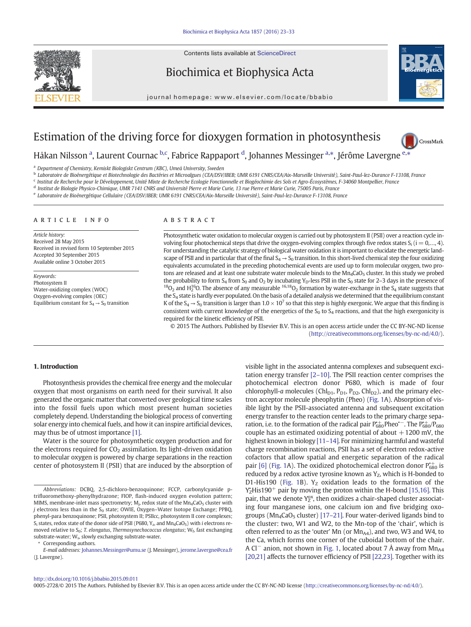Contents lists available at ScienceDirect



Biochimica et Biophysica Acta

journal homepage:<www.elsevier.com/locate/bbabio>



# Estimation of the driving force for dioxygen formation in photosynthesis



Håkan Nilsson <sup>a</sup>, Laurent Cournac <sup>b,c</sup>, Fabrice Rappaport <sup>d</sup>, Johannes Messinger <sup>a,\*</sup>, Jérôme Lavergne <sup>[e,](http://crossmark.crossref.org/dialog/?doi=10.1016/j.bbabio.2015.09.011&domain=pdf)\*</sup>

<sup>a</sup> Department of Chemistry, Kemiskt Biologiskt Centrum (KBC), Umeå University, Sweden

<sup>b</sup> Laboratoire de Bioénergétique et Biotechnologie des Bactéries et Microalgues (CEA/DSV/IBEB; UMR 6191 CNRS/CEA/Aix-Marseille Université), Saint-Paul-lez-Durance F-13108, France

<sup>c</sup> Institut de Recherche pour le Développement, Unité Mixte de Recherche Ecologie Fonctionnelle et Biogéochimie des Sols et Agro-Écosystèmes, F-34060 Montpellier, France

<sup>d</sup> Institut de Biologie Physico-Chimique, UMR 7141 CNRS and Université Pierre et Marie Curie, 13 rue Pierre et Marie Curie, 75005 Paris, France

<sup>e</sup> Laboratoire de Bioénergétique Cellulaire (CEA/DSV/IBEB; UMR 6191 CNRS/CEA/Aix-Marseille Université), Saint-Paul-lez-Durance F-13108, France

## article info abstract

Article history: Received 28 May 2015 Received in revised form 10 September 2015 Accepted 30 September 2015 Available online 3 October 2015

Keywords: Photosystem II Water-oxidizing complex (WOC) Oxygen-evolving complex (OEC) Equilibrium constant for  $S_4 \rightarrow S_0$  transition

Photosynthetic water oxidation to molecular oxygen is carried out by photosystem II (PSII) over a reaction cycle involving four photochemical steps that drive the oxygen-evolving complex through five redox states  $S_i$  (i = 0,..., 4). For understanding the catalytic strategy of biological water oxidation it is important to elucidate the energetic landscape of PSII and in particular that of the final  $S_4 \rightarrow S_0$  transition. In this short-lived chemical step the four oxidizing equivalents accumulated in the preceding photochemical events are used up to form molecular oxygen, two protons are released and at least one substrate water molecule binds to the  $Mn_4$ CaO<sub>5</sub> cluster. In this study we probed the probability to form S<sub>4</sub> from S<sub>0</sub> and O<sub>2</sub> by incubating Y<sub>D</sub>-less PSII in the S<sub>0</sub> state for 2–3 days in the presence of any measurable <sup>16,18</sup>O<sub>2</sub> and H<sup>16</sup>O. The absence of any measurable <sup>16,18</sup>O<sub>2</sub> formation by the S4 state is hardly ever populated. On the basis of a detailed analysis we determined that the equilibrium constant K of the  $S_4 \rightarrow S_0$  transition is larger than  $1.0 \times 10^7$  so that this step is highly exergonic. We argue that this finding is consistent with current knowledge of the energetics of the  $S_0$  to  $S_4$  reactions, and that the high exergonicity is required for the kinetic efficiency of PSII.

© 2015 The Authors. Published by Elsevier B.V. This is an open access article under the CC BY-NC-ND license ([http://creativecommons.org/licenses/by-nc-nd/4.0/\)](http://creativecommons.org/licenses/by-nc-nd/4.0/).

# 1. Introduction

Photosynthesis provides the chemical free energy and the molecular oxygen that most organisms on earth need for their survival. It also generated the organic matter that converted over geological time scales into the fossil fuels upon which most present human societies completely depend. Understanding the biological process of converting solar energy into chemical fuels, and how it can inspire artificial devices, may thus be of utmost importance [\[1\]](#page-9-0).

Water is the source for photosynthetic oxygen production and for the electrons required for  $CO<sub>2</sub>$  assimilation. Its light-driven oxidation to molecular oxygen is powered by charge separations in the reaction center of photosystem II (PSII) that are induced by the absorption of

Corresponding authors.

visible light in the associated antenna complexes and subsequent excitation energy transfer [2–[10\].](#page-9-0) The PSII reaction center comprises the photochemical electron donor P680, which is made of four chlorophyll-a molecules ( $Chl_{D1}$ ,  $P_{D1}$ ,  $P_{D2}$ ,  $Chl_{D2}$ ), and the primary electron acceptor molecule pheophytin (Pheo) [\(Fig. 1A](#page-1-0)). Absorption of visible light by the PSII-associated antenna and subsequent excitation energy transfer to the reaction center leads to the primary charge separation, i.e. to the formation of the radical pair  $P_{680}^{+}$ Pheo<sup>\*-</sup>. The  $P_{680}^{+}$ /P<sub>680</sub> couple has an estimated oxidizing potential of about  $+1200$  mV, the highest known in biology [\[11](#page-9-0)–14]. For minimizing harmful and wasteful charge recombination reactions, PSII has a set of electron redox-active cofactors that allow spatial and energetic separation of the radical pair [\[6\]](#page-9-0) [\(Fig. 1A](#page-1-0)). The oxidized photochemical electron donor  $P_{680}^{+}$  is reduced by a redox active tyrosine known as  $Y_Z$ , which is H-bonded to D1-His190 ([Fig. 1](#page-1-0)B).  $Y_Z$  oxidation leads to the formation of the  $Y_Z^*$ His190<sup>+</sup> pair by moving the proton within the H-bond [\[15,16\].](#page-9-0) This pair, that we denote Y<sub>2</sub><sup>x</sup>, then oxidizes a chair-shaped cluster associating four manganese ions, one calcium ion and five bridging oxogroups ( $Mn_4$ CaO<sub>5</sub> cluster) [\[17](#page-9-0)–21]. Four water-derived ligands bind to the cluster: two, W1 and W2, to the Mn-top of the 'chair', which is often referred to as the 'outer' Mn (or  $Mn_{AA}$ ), and two, W3 and W4, to the Ca, which forms one corner of the cuboidal bottom of the chair. A Cl<sup>−</sup> anion, not shown in [Fig. 1,](#page-1-0) located about 7 Å away from Mn<sub>A4</sub> [\[20,21\]](#page-9-0) affects the turnover efficiency of PSII [\[22,23\]](#page-9-0). Together with its

#### <http://dx.doi.org/10.1016/j.bbabio.2015.09.011>

0005-2728/© 2015 The Authors. Published by Elsevier B.V. This is an open access article under the CC BY-NC-ND license (<http://creativecommons.org/licenses/by-nc-nd/4.0/>).

Abbreviations: DCBQ, 2,5-dichloro-benzoquinone; FCCP, carbonylcyanide ptrifluoromethoxy-phenylhydrazone; FIOP, flash-induced oxygen evolution pattern; MIMS, membrane-inlet mass spectrometry;  $M_{j}$ , redox state of the  $Mn_{4}CaO_{5}$  cluster with  $j$  electrons less than in the S<sub>0</sub> state; OWIE, Oxygen-Water Isotope Exchange; PPBQ, phenyl-para benzoquinone; PSII, photosystem II; PSIIcc, photosystem II core complexes;  $S_i$  states, redox state of the donor side of PSII (P680, Y<sub>z</sub>, and Mn<sub>4</sub>CaO<sub>5</sub>) with *i* electrons removed relative to  $S_0$ ; T. elongatus, Thermosynechococcus elongatus;  $W_f$ , fast exchanging substrate-water; W<sub>s</sub>, slowly exchanging substrate-water.

E-mail addresses: Johannes.Messinger@umu.se (J. Messinger), [jerome.lavergne@cea.fr](mailto:jerome.lavergne@cea.fr) (J. Lavergne).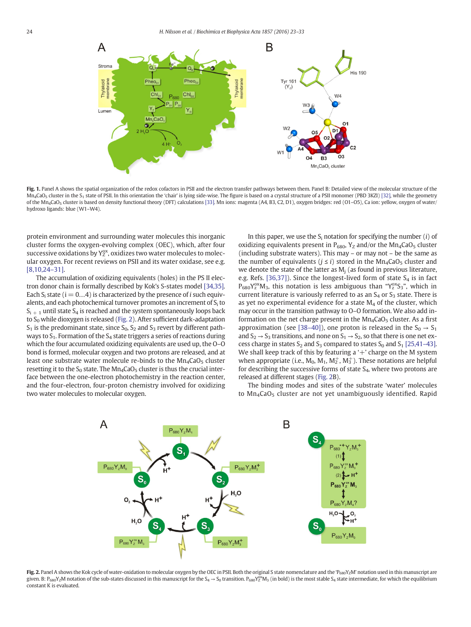<span id="page-1-0"></span>

Fig. 1. Panel A shows the spatial organization of the redox cofactors in PSII and the electron transfer pathways between them. Panel B: Detailed view of the molecular structure of the Mn<sub>4</sub>CaO<sub>5</sub> cluster in the S<sub>1</sub> state of PSII. In this orientation the 'chair' is lying side-wise. The figure is based on a crystal structure of a PSII monomer (PBD 3KZI) [\[32\],](#page-9-0) while the geometry of the Mn<sub>4</sub>CaO<sub>5</sub> cluster is based on density functional theory (DFT) calculations [\[33\].](#page-9-0) Mn ions: magenta (A4, B3, C2, D1), oxygen bridges: red (O1-O5), Ca ion: yellow, oxygen of water/ hydroxo ligands: blue (W1–W4).

protein environment and surrounding water molecules this inorganic cluster forms the oxygen-evolving complex (OEC), which, after four successive oxidations by  $Y_Z^{ox}$ , oxidizes two water molecules to molecular oxygen. For recent reviews on PSII and its water oxidase, see e.g. [\[8,10,24](#page-9-0)–31].

The accumulation of oxidizing equivalents (holes) in the PS II electron donor chain is formally described by Kok's S-states model [\[34,35\].](#page-9-0) Each S<sub>i</sub> state ( $i = 0...4$ ) is characterized by the presence of *i* such equivalents, and each photochemical turnover promotes an increment of  $S_i$  to  $S_{i+1}$  until state  $S_4$  is reached and the system spontaneously loops back to  $S_0$  while dioxygen is released (Fig. 2). After sufficient dark-adaptation  $S_1$  is the predominant state, since  $S_0$ ,  $S_2$  and  $S_3$  revert by different pathways to  $S_1$ . Formation of the  $S_4$  state triggers a series of reactions during which the four accumulated oxidizing equivalents are used up, the O–O bond is formed, molecular oxygen and two protons are released, and at least one substrate water molecule re-binds to the  $Mn_4$ CaO<sub>5</sub> cluster resetting it to the  $S_0$  state. The  $Mn_4CaO<sub>5</sub>$  cluster is thus the crucial interface between the one-electron photochemistry in the reaction center, and the four-electron, four-proton chemistry involved for oxidizing two water molecules to molecular oxygen.

In this paper, we use the  $S_i$  notation for specifying the number (i) of oxidizing equivalents present in  $P_{680}$ , Y<sub>z</sub> and/or the Mn<sub>4</sub>CaO<sub>5</sub> cluster (including substrate waters). This may – or may not – be the same as the number of equivalents ( $j \le i$ ) stored in the Mn<sub>4</sub>CaO<sub>5</sub> cluster and we denote the state of the latter as  $M_i$  (as found in previous literature, e.g. Refs. [\[36,37\]\)](#page-9-0). Since the longest-lived form of state  $S_4$  is in fact  $P_{680}Y_2^{ox}M_3$ , this notation is less ambiguous than " $Y_2^{ox}S_3$ ", which in current literature is variously referred to as an  $S_4$  or  $S_3$  state. There is as yet no experimental evidence for a state  $M_4$  of the cluster, which may occur in the transition pathway to O–O formation. We also add information on the net charge present in the  $Mn_4$ CaO<sub>5</sub> cluster. As a first approximation (see [38–[40\]\)](#page-9-0), one proton is released in the  $S_0 \rightarrow S_1$ and  $S_2 \rightarrow S_3$  transitions, and none on  $S_1 \rightarrow S_2$ , so that there is one net excess charge in states  $S_2$  and  $S_3$  compared to states  $S_0$  and  $S_1$  [\[25,41](#page-9-0)–43]. We shall keep track of this by featuring a ' $+$ ' charge on the M system when appropriate (i.e.,  $M_0$ ,  $M_1$ ,  $M_2^+$ ,  $M_3^+$ ). These notations are helpful for describing the successive forms of state  $S_4$ , where two protons are released at different stages (Fig. 2B).

The binding modes and sites of the substrate 'water' molecules to  $Mn_4$ CaO<sub>5</sub> cluster are not yet unambiguously identified. Rapid



Fig. 2. Panel A shows the Kok cycle of water-oxidation to molecular oxygen by the OEC in PSII. Both the original S state nomenclature and the 'P<sub>680</sub>YzM' notation used in this manuscript are given. B: P<sub>680</sub>Y<sub>Z</sub>M notation of the sub-states discussed in this manuscript for the S<sub>4</sub>  $\rightarrow$  S<sub>0</sub> transition. P<sub>680</sub>Y<sub>2</sub><sup>x</sup>M<sub>3</sub> (in bold) is the most stable S<sub>4</sub> state intermediate, for which the equilibrium constant K is evaluated.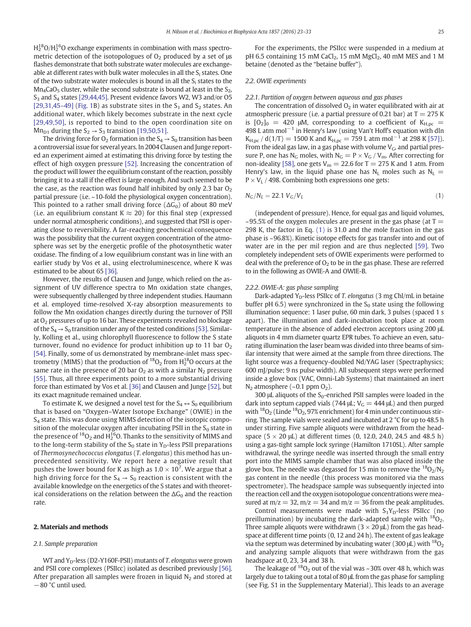<span id="page-2-0"></span> $\rm H_2^{18}O/H_2^{16}O$  exchange experiments in combination with mass spectrometric detection of the isotopologues of  $O<sub>2</sub>$  produced by a set of us flashes demonstrate that both substrate water molecules are exchangeable at different rates with bulk water molecules in all the  $S_i$  states. One of the two substrate water molecules is bound in all the  $S_i$  states to the  $Mn_4$ CaO<sub>5</sub> cluster, while the second substrate is bound at least in the S<sub>2</sub>,  $S_3$  and  $S_4$  states [\[29,44,45\].](#page-9-0) Present evidence favors W2, W3 and/or O5 [\[29,31,45](#page-9-0)–49] ([Fig. 1](#page-1-0)B) as substrate sites in the  $S_1$  and  $S_2$  states. An additional water, which likely becomes substrate in the next cycle [\[29,49,50\],](#page-9-0) is reported to bind to the open coordination site on Mn<sub>D1</sub> during the  $S_2 \rightarrow S_3$  transition [\[19,50,51\]](#page-9-0).

The driving force for  $O_2$  formation in the  $S_4 \rightarrow S_0$  transition has been a controversial issue for several years. In 2004 Clausen and Junge reported an experiment aimed at estimating this driving force by testing the effect of high oxygen pressure [\[52\]](#page-10-0). Increasing the concentration of the product will lower the equilibrium constant of the reaction, possibly bringing it to a stall if the effect is large enough. And such seemed to be the case, as the reaction was found half inhibited by only 2.3 bar  $O<sub>2</sub>$ partial pressure (i.e. ~10-fold the physiological oxygen concentration). This pointed to a rather small driving force ( $\Delta G_0$ ) of about 80 meV (i.e. an equilibrium constant K  $\approx$  20) for this final step (expressed under normal atmospheric conditions), and suggested that PSII is operating close to reversibility. A far-reaching geochemical consequence was the possibility that the current oxygen concentration of the atmosphere was set by the energetic profile of the photosynthetic water oxidase. The finding of a low equilibrium constant was in line with an earlier study by Vos et al., using electroluminescence, where K was estimated to be about 65 [\[36\]](#page-9-0).

However, the results of Clausen and Junge, which relied on the assignment of UV difference spectra to Mn oxidation state changes, were subsequently challenged by three independent studies. Haumann et al. employed time-resolved X-ray absorption measurements to follow the Mn oxidation changes directly during the turnover of PSII at O2 pressures of up to 16 bar. These experiments revealed no blockage of the  $S_4 \rightarrow S_0$  transition under any of the tested conditions [\[53\]](#page-10-0). Similarly, Kolling et al., using chlorophyll fluorescence to follow the S state turnover, found no evidence for product inhibition up to 11 bar  $O_2$ [\[54\]](#page-10-0). Finally, some of us demonstrated by membrane-inlet mass spectrometry (MIMS) that the production of  $^{18}O_2$  from H $_2^{18}O$  occurs at the same rate in the presence of 20 bar  $O<sub>2</sub>$  as with a similar  $N<sub>2</sub>$  pressure [\[55\]](#page-10-0). Thus, all three experiments point to a more substantial driving force than estimated by Vos et al. [\[36\]](#page-9-0) and Clausen and Junge [\[52\],](#page-10-0) but its exact magnitude remained unclear.

To estimate K, we designed a novel test for the  $S_4 \leftrightarrow S_0$  equilibrium that is based on "Oxygen–Water Isotope Exchange" (OWIE) in the S4 state. This was done using MIMS detection of the isotopic composition of the molecular oxygen after incubating PSII in the  $S_0$  state in the presence of  $^{18}O_2$  and H $_2^{16}$ O. Thanks to the sensitivity of MIMS and to the long-term stability of the  $S_0$  state in  $Y_D$ -less PSII preparations of Thermosynechococcus elongatus (T. elongatus) this method has unprecedented sensitivity. We report here a negative result that pushes the lower bound for K as high as 1.0  $\times$  10<sup>7</sup>. We argue that a high driving force for the  $S_4 \rightarrow S_0$  reaction is consistent with the available knowledge on the energetics of the S states and with theoretical considerations on the relation between the  $\Delta G_0$  and the reaction rate.

#### 2. Materials and methods

#### 2.1. Sample preparation

WT and  $Y_D$ -less (D2-Y160F-PSII) mutants of T. elongatus were grown and PSII core complexes (PSIIcc) isolated as described previously [\[56\].](#page-10-0) After preparation all samples were frozen in liquid  $N_2$  and stored at −80 °C until used.

For the experiments, the PSIIcc were suspended in a medium at pH 6.5 containing 15 mM CaCl<sub>2</sub>, 15 mM MgCl<sub>2</sub>, 40 mM MES and 1 M betaine (denoted as the "betaine buffer").

## 2.2. OWIE experiments

# 2.2.1. Partition of oxygen between aqueous and gas phases

The concentration of dissolved  $O<sub>2</sub>$  in water equilibrated with air at atmospheric pressure (i.e. a partial pressure of 0.21 bar) at  $T = 275$  K is  $[O_2]_0 = 420$  μM, corresponding to a coefficient of  $K_{H,pc}$  = 498 L atm mol−<sup>1</sup> in Henry's law (using Van't Hoff's equation with dln  $K_{H,pc}$  / d(1/T) = 1500 K and  $K_{H,pc}$  = 759 L atm mol<sup>-1</sup> at 298 K [\[57\]](#page-10-0)). From the ideal gas law, in a gas phase with volume  $V_G$ , and partial pressure P, one has N<sub>G</sub> moles, with N<sub>G</sub> = P  $\times$  V<sub>G</sub> / V<sub>m</sub>. After correcting for non-ideality [\[58\],](#page-10-0) one gets  $V_m = 22.6$  for T = 275 K and 1 atm. From Henry's law, in the liquid phase one has  $N_L$  moles such as  $N_L$  =  $P \times V_L$  / 498. Combining both expressions one gets:

$$
N_G/N_L = 22.1 \, V_G/V_L \tag{1}
$$

(independent of pressure). Hence, for equal gas and liquid volumes,  $\sim$ 95.5% of the oxygen molecules are present in the gas phase (at T  $=$ 298 K, the factor in Eq. (1) is 31.0 and the mole fraction in the gas phase is ~96.8%). Kinetic isotope effects for gas transfer into and out of water are in the per mil region and are thus neglected [\[59\]](#page-10-0). Two completely independent sets of OWIE experiments were performed to deal with the preference of  $O<sub>2</sub>$  to be in the gas phase. These are referred to in the following as OWIE-A and OWIE-B.

## 2.2.2. OWIE-A: gas phase sampling

Dark-adapted Y<sub>D</sub>-less PSIIcc of T. elongatus (3 mg Chl/mL in betaine buffer pH 6.5) were synchronized in the  $S_0$  state using the following illumination sequence: 1 laser pulse, 60 min dark, 3 pulses (spaced 1 s apart). The illumination and dark-incubation took place at room temperature in the absence of added electron acceptors using 200 μL aliquots in 4 mm diameter quartz EPR tubes. To achieve an even, saturating illumination the laser beam was divided into three beams of similar intensity that were aimed at the sample from three directions. The light source was a frequency-doubled Nd/YAG laser (Spectraphysics; 600 mJ/pulse; 9 ns pulse width). All subsequent steps were performed inside a glove box (VAC, Omni-Lab Systems) that maintained an inert  $N_2$  atmosphere  $(-0.1$  ppm  $O_2$ ).

300 μL aliquots of the S<sub>0</sub>-enriched PSII samples were loaded in the dark into septum capped vials (744  $\mu$ L; V<sub>G</sub> = 444  $\mu$ L) and then purged with  $18$ O<sub>2</sub> (Linde  $18$ O<sub>2</sub>, 97% enrichment) for 4 min under continuous stirring. The sample vials were sealed and incubated at 2 °C for up to 48.5 h under stirring. Five sample aliquots were withdrawn from the headspace ( $5 \times 20$  µL) at different times (0, 12.0, 24.0, 24.5 and 48.5 h) using a gas-tight sample lock syringe (Hamilton 1710SL). After sample withdrawal, the syringe needle was inserted through the small entry port into the MIMS sample chamber that was also placed inside the glove box. The needle was degassed for 15 min to remove the  ${}^{18}O_2/N_2$ gas content in the needle (this process was monitored via the mass spectrometer). The headspace sample was subsequently injected into the reaction cell and the oxygen isotopologue concentrations were measured at  $m/z = 32$ ,  $m/z = 34$  and  $m/z = 36$  from the peak amplitudes.

Control measurements were made with  $S_1Y_D$ -less PSIIcc (no preillumination) by incubating the dark-adapted sample with  $^{18}O_2$ . Three sample aliquots were withdrawn ( $3 \times 20$   $\mu$ L) from the gas headspace at different time points (0, 12 and 24 h). The extent of gas leakage via the septum was determined by incubating water (300  $\mu$ L) with  $^{18}O_2$ and analyzing sample aliquots that were withdrawn from the gas headspace at 0, 23, 34 and 38 h.

The leakage of  ${}^{18}O_2$  out of the vial was ~30% over 48 h, which was largely due to taking out a total of 80 μL from the gas phase for sampling (see Fig. S1 in the Supplementary Material). This leads to an average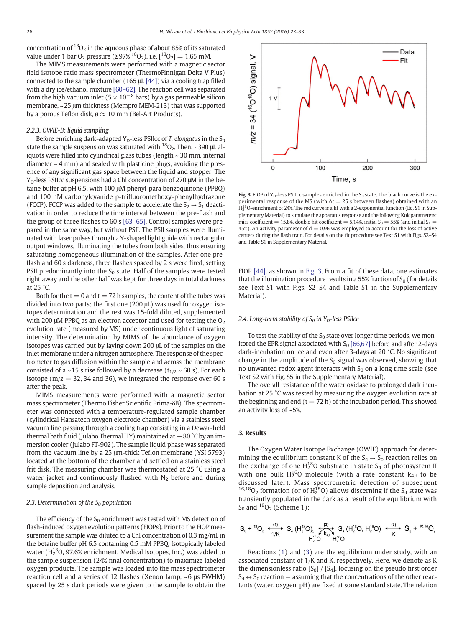<span id="page-3-0"></span>concentration of  ${}^{18}O_2$  in the aqueous phase of about 85% of its saturated value under 1 bar O<sub>2</sub> pressure ( $\geq 97\%$ <sup>18</sup>O<sub>2</sub>), i.e. [<sup>18</sup>O<sub>2</sub>] = 1.65 mM.

The MIMS measurements were performed with a magnetic sector field isotope ratio mass spectrometer (ThermoFinnigan Delta V Plus) connected to the sample chamber (165 μL [\[44\]\)](#page-9-0) via a cooling trap filled with a dry ice/ethanol mixture [\[60](#page-10-0)–62]. The reaction cell was separated from the high vacuum inlet ( $5 \times 10^{-8}$  bars) by a gas permeable silicon membrane, ~25 μm thickness (Mempro MEM-213) that was supported by a porous Teflon disk,  $\varnothing \approx 10$  mm (Bel-Art Products).

## 2.2.3. OWIE-B: liquid sampling

Before enriching dark-adapted  $Y_D$ -less PSIIcc of T. elongatus in the  $S_0$ state the sample suspension was saturated with  $^{18}O_2$ . Then, ~390  $\mu$ L aliquots were filled into cylindrical glass tubes (length ~ 30 mm, internal diameter  $\sim$  4 mm) and sealed with plasticine plugs, avoiding the presence of any significant gas space between the liquid and stopper. The Y<sub>D</sub>-less PSIIcc suspensions had a Chl concentration of 270 μM in the betaine buffer at pH 6.5, with 100 μM phenyl-para benzoquinone (PPBQ) and 100 nM carbonylcyanide p-trifluoromethoxy-phenylhydrazone (FCCP). FCCP was added to the sample to accelerate the  $S_2 \rightarrow S_1$  deactivation in order to reduce the time interval between the pre-flash and the group of three flashes to 60 s [63–[65\]](#page-10-0). Control samples were prepared in the same way, but without PSII. The PSII samples were illuminated with laser pulses through a Y-shaped light guide with rectangular output windows, illuminating the tubes from both sides, thus ensuring saturating homogeneous illumination of the samples. After one preflash and 60 s darkness, three flashes spaced by 2 s were fired, setting PSII predominantly into the  $S_0$  state. Half of the samples were tested right away and the other half was kept for three days in total darkness at 25 °C.

Both for the  $t = 0$  and  $t = 72$  h samples, the content of the tubes was divided into two parts: the first one (200 μL) was used for oxygen isotopes determination and the rest was 15-fold diluted, supplemented with 200  $\mu$ M PPBQ as an electron acceptor and used for testing the  $O<sub>2</sub>$ evolution rate (measured by MS) under continuous light of saturating intensity. The determination by MIMS of the abundance of oxygen isotopes was carried out by laying down 200 μL of the samples on the inlet membrane under a nitrogen atmosphere. The response of the spectrometer to gas diffusion within the sample and across the membrane consisted of a ~15 s rise followed by a decrease ( $t_{1/2}$  ~ 60 s). For each isotope ( $m/z = 32$ , 34 and 36), we integrated the response over 60 s after the peak.

MIMS measurements were performed with a magnetic sector mass spectrometer (Thermo Fisher Scientific Prima-δB). The spectrometer was connected with a temperature-regulated sample chamber (cylindrical Hansatech oxygen electrode chamber) via a stainless steel vacuum line passing through a cooling trap consisting in a Dewar-held thermal bath fluid (Julabo Thermal HY) maintained at −80 °C by an immersion cooler (Julabo FT-902). The sample liquid phase was separated from the vacuum line by a 25 μm-thick Teflon membrane (YSI 5793) located at the bottom of the chamber and settled on a stainless steel frit disk. The measuring chamber was thermostated at 25 °C using a water jacket and continuously flushed with  $N_2$  before and during sample deposition and analysis.

## 2.3. Determination of the  $S_0$  population

The efficiency of the  $S_0$  enrichment was tested with MS detection of flash-induced oxygen evolution patterns (FIOPs). Prior to the FIOP measurement the sample was diluted to a Chl concentration of 0.3 mg/mL in the betaine buffer pH 6.5 containing 0.5 mM PPBQ. Isotopically labeled water ( $H_2^{18}$ O, 97.6% enrichment, Medical Isotopes, Inc.) was added to the sample suspension (24% final concentration) to maximize labeled oxygen products. The sample was loaded into the mass spectrometer reaction cell and a series of 12 flashes (Xenon lamp, ~6 μs FWHM) spaced by 25 s dark periods were given to the sample to obtain the



Fig. 3. FIOP of Y<sub>D</sub>-less PSIIcc samples enriched in the S<sub>0</sub> state. The black curve is the experimental response of the MS (with  $\Delta t = 25$  s between flashes) obtained with an H<sub>2</sub><sup>8</sup>O-enrichment of 24%. The red curve is a fit with a 2-exponential function (Eq. S1 in Supplementary Material) to simulate the apparatus response and the following Kok parameters: miss coefficient = 15.8%, double hit coefficient = 5.14%, initial  $S_0 = 55\%$  (and initial  $S_1 =$ 45%). An activity parameter of  $d = 0.96$  was employed to account for the loss of active centers during the flash train. For details on the fit procedure see Text S1 with Figs. S2–S4 and Table S1 in Supplementary Material.

FIOP [\[44\],](#page-9-0) as shown in Fig. 3. From a fit of these data, one estimates that the illumination procedure results in a 55% fraction of  $S_0$  (for details see Text S1 with Figs. S2–S4 and Table S1 in the Supplementary Material).

# 2.4. Long-term stability of  $S_0$  in Y<sub>D</sub>-less PSIIcc

To test the stability of the  $S_0$  state over longer time periods, we monitored the EPR signal associated with  $S_0$  [\[66,67\]](#page-10-0) before and after 2-days dark-incubation on ice and even after 3-days at 20 °C. No significant change in the amplitude of the  $S_0$  signal was observed, showing that no unwanted redox agent interacts with  $S_0$  on a long time scale (see Text S2 with Fig. S5 in the Supplementary Material).

The overall resistance of the water oxidase to prolonged dark incubation at 25 °C was tested by measuring the oxygen evolution rate at the beginning and end  $(t = 72 h)$  of the incubation period. This showed an activity loss of ~5%.

# 3. Results

The Oxygen Water Isotope Exchange (OWIE) approach for determining the equilibrium constant K of the  $S_4 \rightarrow S_0$  reaction relies on the exchange of one  $H_2^{18}O$  substrate in state  $S_4$  of photosystem II with one bulk  $H_2^{16}O$  molecule (with a rate constant  $k_{4,f}$  to be discussed later). Mass spectrometric detection of subsequent <sup>16,18</sup>O<sub>2</sub> formation (or of  $H_2^{18}O$ ) allows discerning if the S<sub>4</sub> state was transiently populated in the dark as a result of the equilibrium with  $S_0$  and  $^{18}O_2$  (Scheme 1):

$$
S_0 + {}^{18}O_2 \xrightarrow{+10 \atop +10} S_4 (H_2^{18}O)_2 \xrightarrow{+20 \atop +10^9} S_4 (H_2^{18}O, H_2^{16}O) \xrightarrow{+10 \atop +10^9} S_0 + {}^{16,18}O_2
$$

Reactions ([1](#page-2-0)) and ([3\)](#page-6-0) are the equilibrium under study, with an associated constant of 1/K and K, respectively. Here, we denote as K the dimensionless ratio  $[S_0] / [S_4]$ , focusing on the pseudo first order  $S_4 \leftrightarrow S_0$  reaction – assuming that the concentrations of the other reactants (water, oxygen, pH) are fixed at some standard state. The relation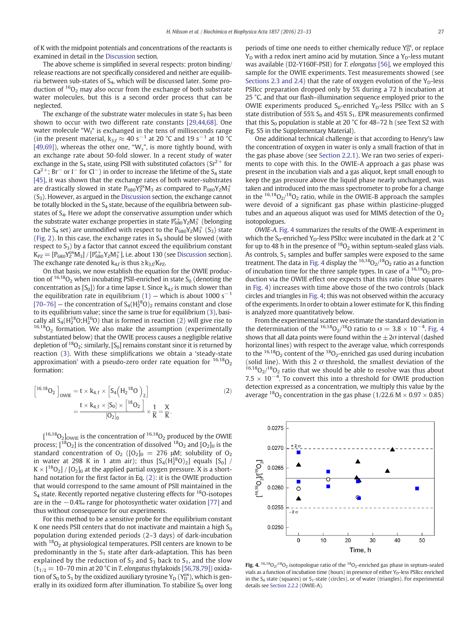<span id="page-4-0"></span>of K with the midpoint potentials and concentrations of the reactants is examined in detail in the [Discussion](#page-5-0) section.

The above scheme is simplified in several respects: proton binding/ release reactions are not specifically considered and neither are equilibria between sub-states of  $S<sub>4</sub>$ , which will be discussed later. Some production of  $16O<sub>2</sub>$  may also occur from the exchange of both substrate water molecules, but this is a second order process that can be neglected.

The exchange of the substrate water molecules in state  $S_3$  has been shown to occur with two different rate constants [\[29,44,68\]](#page-9-0). One water molecule " $W_f$ " is exchanged in the tens of milliseconds range (in the present material,  $k_{3,f} \approx 40 \text{ s}^{-1}$  at 20 °C and 19 s<sup>-1</sup> at 10 °C [\[49,69\]\)](#page-10-0), whereas the other one, " $W_s$ ", is more tightly bound, with an exchange rate about 50-fold slower. In a recent study of water exchange in the  $S_4$  state, using PSII with substituted cofactors ( $Sr^{2+}$  for  $Ca^{2+}$ ; Br<sup>−</sup> or I<sup>−</sup> for Cl<sup>−</sup>) in order to increase the lifetime of the S<sub>4</sub> state [\[45\]](#page-9-0), it was shown that the exchange rates of both water-substrates are drastically slowed in state  $P_{680}Y_Z^{ox}M_3$  as compared to  $P_{680}Y_ZM_3^+$  $(S<sub>3</sub>)$ . However, as argued in the [Discussion](#page-5-0) section, the exchange cannot be totally blocked in the  $S_4$  state, because of the equilibria between substates of S<sub>4</sub>. Here we adopt the conservative assumption under which the substrate water exchange properties in state  $\rm P^{*-}_{680}Y_ZM^{+}_3$  (belonging to the S<sub>4</sub> set) are unmodified with respect to the  $P_{680}Y_ZM_3^+$  (S<sub>3</sub>) state [\(Fig. 2](#page-1-0)). In this case, the exchange rates in  $S_4$  should be slowed (with respect to  $S_3$ ) by a factor that cannot exceed the equilibrium constant  $K_{PZ} = [P_{680}Y_Z^{ox}M_3]/[P_{680}^{*+}Y_ZM_3^+]$ , i.e. about 130 (see [Discussion](#page-5-0) section). The exchange rate denoted  $k_{4,f}$  is thus  $\geq k_{3,f}/K_{PZ}$ .

On that basis, we now establish the equation for the OWIE production of  $16,18$ O<sub>2</sub> when incubating PSII-enriched in state S<sub>0</sub> (denoting the concentration as  $[S_0]$ ) for a time lapse t. Since  $k_{4,f}$  is much slower than the equilibration rate in equilibrium ([1\)](#page-2-0) — which is about 1000 s<sup>-1</sup>  $[70-76]$  $[70-76]$  – the concentration of  $S_4(H_2^{18}O)_2$  remains constant and close to its equilibrium value; since the same is true for equilibrium [\(3](#page-6-0)), basically all  $S_4(H_2^{18}O;H_2^{16}O)$  that is formed in reaction (2) will give rise to  $16,18$ O<sub>2</sub> formation. We also make the assumption (experimentally substantiated below) that the OWIE process causes a negligible relative depletion of  ${}^{18}O_2$ ; similarly, [S<sub>0</sub>] remains constant since it is returned by reaction ([3\)](#page-6-0). With these simplifications we obtain a 'steady-state approximation' with a pseudo-zero order rate equation for  $16,18$ O<sub>2</sub> formation:

$$
\begin{aligned} \left[ \n^{16,18}O_2 \right]_{OWIE} &= t \times k_{4,f} \times \left[ S_4 \left( H_2^{18}O \right)_2 \right] \\ &= \frac{t \times k_{4,f} \times [S_0] \times \left[ \n^{18}O_2 \right]}{[O_2]_0} \times \frac{1}{K} = \frac{X}{K}. \end{aligned} \tag{2}
$$

 $[16,18$ O<sub>2</sub> low<sub>IE</sub> is the concentration of  $16,18$ O<sub>2</sub> produced by the OWIE process;  $\binom{18}{2}$  is the concentration of dissolved  $\binom{18}{2}$  and  $\binom{0}{2}$  is the standard concentration of  $O_2$  ( $[O_2]_0 = 276$   $\mu$ M; solubility of  $O_2$ in water at 298 K in 1 atm air); thus  $[S_4(H_2^{18}O)_2]$  equals  $[S_0]$  /  $K \times [1802] / [02]$  at the applied partial oxygen pressure. X is a shorthand notation for the first factor in Eq. (2): it is the OWIE production that would correspond to the same amount of PSII maintained in the  $S_4$  state. Recently reported negative clustering effects for  $^{18}$ O-isotopes are in the −0.4‰ range for photosynthetic water oxidation [\[77\]](#page-10-0) and thus without consequence for our experiments.

For this method to be a sensitive probe for the equilibrium constant K one needs PSII centers that do not inactivate and maintain a high  $S_0$ population during extended periods (2–3 days) of dark-incubation with  $18O<sub>2</sub>$  at physiological temperatures. PSII centers are known to be predominantly in the  $S_1$  state after dark-adaptation. This has been explained by the reduction of  $S_2$  and  $S_3$  back to  $S_1$ , and the slow  $(t_{1/2} = 10-70$  min at 20 °C in T. elongatus thylakoids [\[56,78,79\]\)](#page-10-0) oxidation of  $S_0$  to  $S_1$  by the oxidized auxiliary tyrosine  $Y_D$  ( $Y_D^{ox}$ ), which is generally in its oxidized form after illumination. To stabilize  $S_0$  over long

periods of time one needs to either chemically reduce Y<sub>D</sub>, or replace  $Y_D$  with a redox inert amino acid by mutation. Since a  $Y_D$ -less mutant was available (D2-Y160F-PSII) for T. elongatus [\[56\],](#page-10-0) we employed this sample for the OWIE experiments. Test measurements showed (see [Sections 2.3 and 2.4](#page-3-0)) that the rate of oxygen evolution of the  $Y_D$ -less PSIIcc preparation dropped only by 5% during a 72 h incubation at 25 °C, and that our flash–illumination sequence employed prior to the OWIE experiments produced  $S_0$ -enriched  $Y_D$ -less PSIIcc with an S state distribution of 55%  $S_0$  and 45%  $S_1$ . EPR measurements confirmed that this  $S_0$  population is stable at 20 °C for 48–72 h (see Text S2 with Fig. S5 in the Supplementary Material).

One additional technical challenge is that according to Henry's law the concentration of oxygen in water is only a small fraction of that in the gas phase above (see [Section 2.2.1\)](#page-2-0). We ran two series of experiments to cope with this. In the OWIE-A approach a gas phase was present in the incubation vials and a gas aliquot, kept small enough to keep the gas pressure above the liquid phase nearly unchanged, was taken and introduced into the mass spectrometer to probe for a change in the  $16,18$ O<sub>2</sub>/ $18$ O<sub>2</sub> ratio, while in the OWIE-B approach the samples were devoid of a significant gas phase within plasticine-plugged tubes and an aqueous aliquot was used for MIMS detection of the  $O<sub>2</sub>$ isotopologues.

OWIE-A. Fig. 4 summarizes the results of the OWIE-A experiment in which the  $S_0$ -enriched Y<sub>D</sub>-less PSIIcc were incubated in the dark at 2  $^{\circ}$ C for up to 48 h in the presence of  ${}^{18}O_2$  within septum-sealed glass vials. As controls,  $S_1$  samples and buffer samples were exposed to the same treatment. The data in Fig. 4 display the  $^{16,18}O_2/^{18}O_2$  ratio as a function of incubation time for the three sample types. In case of a  $^{16,18}O_2$  production via the OWIE effect one expects that this ratio (blue squares in Fig. 4) increases with time above those of the two controls (black circles and triangles in Fig. 4; this was not observed within the accuracy of the experiments. In order to obtain a lower estimate for K, this finding is analyzed more quantitatively below.

From the experimental scatter we estimate the standard deviation in the determination of the <sup>16,18</sup>O<sub>2</sub>/<sup>18</sup>O ratio to  $\sigma = 3.8 \times 10^{-4}$ . Fig. 4 shows that all data points were found within the  $\pm 2\sigma$  interval (dashed horizontal lines) with respect to the average value, which corresponds to the  $16,18$ O<sub>2</sub> content of the  $18$ O<sub>2</sub>-enriched gas used during incubation (solid line). With this 2  $\sigma$  threshold, the smallest deviation of the  $16,18$ O<sub>2</sub>/18O<sub>2</sub> ratio that we should be able to resolve was thus about 7.5  $\times$  10<sup>-4</sup>. To convert this into a threshold for OWIE production detection expressed as a concentration, we multiply this value by the average  $^{18}O_2$  concentration in the gas phase (1/22.6 M  $\times$  0.97  $\times$  0.85)

Fig. 4.  $16,18$ O<sub>2</sub>/18O<sub>2</sub> isotopologue ratio of the  $18$ O<sub>2</sub>-enriched gas phase in septum-sealed vials as a function of incubation time (hours) in presence of either  $Y_D$ -less PSIIcc enriched in the  $S_0$  state (squares) or  $S_1$ -state (circles), or of water (triangles). For experimental details see [Section 2.2.2](#page-2-0) (OWIE-A).

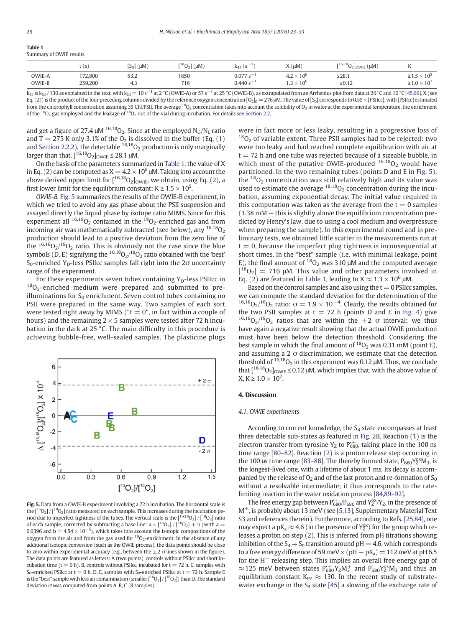<span id="page-5-0"></span>

| <b>Table 1</b>           |
|--------------------------|
| Summary of OWIE results. |

|                  | $\sqrt{2}$<br>$\mathbf{S}$ | $[S_0]$ ( $\mu$ M)                           | $[{}^{18}O_2]$ ( $\mu$ M) | $\sim$ $-$<br>ĸ4               | $X(\mu M)$                                                            | $[{}^{16,18}O_2]_{\text{OWIE}}$ (µM) | п                                                                          |
|------------------|----------------------------|----------------------------------------------|---------------------------|--------------------------------|-----------------------------------------------------------------------|--------------------------------------|----------------------------------------------------------------------------|
| OWIE-A<br>OWIE-B | 172,800<br>259,200         | $\sim$<br>33.Z<br>.<br>т. э<br>$\sim$ $\sim$ | 1650<br>716               | 0.077<br>$-$<br>$0.440 s^{-1}$ | 10 <sup>6</sup><br>$\sim$<br>4.2 $\times$<br>10 <sup>6</sup><br>△ ر…ي | ≤28.1<br>____<br>$\le 0.12$          | $.5\times10^5$<br>. .<br>$\leq 1.5$<br>$\geq$ 1.0 $\times$ 10 <sup>7</sup> |

 $k_{4f}$  is  $k_{3f}$  / 130 as explained in the text, with  $k_{3f} = 10 s^{-1}$  at 2 °C (OWIE-A) or 57 s<sup>-1</sup> at 25 °C (OWIE-B), as extrapolated from an Arrhenius plot from data at 20 °C and 10 °C [\[45,69\].](#page-9-0) X (see Eq. [\(2\)](#page-4-0)) is the product of the four preceding columns divided by the reference oxygen concentration [O<sub>2</sub>]<sub>0</sub> = 276 μM. The value of [S<sub>0</sub>] corresponds to 0.55 × [PSIIcc], with [PSIIcc] estimated from the chlorophyll concentration assuming 35 Chl/PSII. The average <sup>18</sup>O<sub>2</sub> concentration takes into account the solubility of O<sub>2</sub> in water at the experimental temperature, the enrichment of the <sup>18</sup>O<sub>2</sub> gas employed and the leakage of <sup>18</sup>O<sub>2</sub> out of the vial during incubation. For details see [Section 2.2](#page-2-0).

and get a figure of 27.4  $\mu$ M <sup>16,18</sup>O<sub>2</sub>. Since at the employed N<sub>G</sub>/N<sub>L</sub> ratio and T = 275 K only 3.1% of the  $O_2$  is dissolved in the buffer (Eq. [\(1\)](#page-2-0) and [Section 2.2.2](#page-2-0)), the detectable  $16,18$ O<sub>2</sub> production is only marginally larger than that,  $[16,1802]_{\text{OWIE}} \leq 28.1 \text{ }\mu\text{M}.$ 

On the basis of the parameters summarized in Table 1, the value of X in Eq. [\(2\)](#page-4-0) can be computed as  $X = 4.2 \times 10^6$   $\mu$ M. Taking into account the above derived upper limit for  $[{}^{16,18}O_2]_{\text{OWIE}}$ , we obtain, using Eq. [\(2\),](#page-4-0) a first lower limit for the equilibrium constant:  $K \geq 1.5 \times 10^5$ .

OWIE-B. Fig. 5 summarizes the results of the OWIE-B experiment, in which we tried to avoid any gas phase about the PSII suspension and assayed directly the liquid phase by isotope ratio MIMS. Since for this experiment all  $16,18$ O<sub>2</sub> contained in the  $18$ O<sub>2</sub>-enriched gas and from incoming air was mathematically subtracted (see below), any  $^{16,18}O<sub>2</sub>$ production should lead to a positive deviation from the zero line of the  $16,18$ O<sub>2</sub>/ $18$ O<sub>2</sub> ratio. This is obviously not the case since the blue symbols (D, E) signifying the  ${}^{16,18}O_2/{}^{18}O_2$  ratio obtained with the 'best' S<sub>0</sub>-enriched Y<sub>D</sub>-less PSIIcc samples fall right into the 2 $\sigma$  uncertainty range of the experiment.

For these experiments seven tubes containing  $Y_D$ -less PSIIcc in <sup>18</sup>O<sub>2</sub>-enriched medium were prepared and submitted to preilluminations for  $S_0$  enrichment. Seven control tubes containing no PSII were prepared in the same way. Two samples of each sort were tested right away by MIMS (" $t=0$ ", in fact within a couple of hours) and the remaining  $2 \times 5$  samples were tested after 72 h incubation in the dark at 25 °C. The main difficulty in this procedure is achieving bubble-free, well-sealed samples. The plasticine plugs



Fig. 5. Data from a OWIE-B experiment involving a 72 h incubation. The horizontal scale is the  $[16O<sub>2</sub>] / [18O<sub>2</sub>]$  ratio measured on each sample. This increases during the incubation period due to imperfect tightness of the tubes. The vertical scale is the  $\binom{16,18}{2}/\binom{18}{2}$  ratio of each sample, corrected by subtracting a base line:  $a \times \binom{16}{2} / \binom{18}{2} + b$  (with a = 0.0396 and b =  $4.54 \times 10^{-3}$ ), which takes into account the isotopic compositions of the  $\alpha$ ygen from the air and from the gas used for  ${}^{18}O_2$ -enrichment. In the absence of any additional isotopic conversion (such as the OWIE process), the data points should be close to zero within experimental accuracy (e.g., between the  $\pm 2$   $\sigma$  lines shown in the figure). The data points are featured as letters: A (two points), controls without PSIIcc and short incubation time (t = 0 h). B, controls without PSIIcc, incubated for t = 72 h. C, samples with S<sub>0</sub>-enriched PSIIcc at t = 0 h. D, E, samples with S<sub>0</sub>-enriched PSIIcc at t = 72 h. Sample E is the "best" sample with less air contamination (smaller  $[^{16}O_2]/[^{18}O_2]$ ) than D. The standard deviation σ was computed from points A, B, C (8 samples).

were in fact more or less leaky, resulting in a progressive loss of  $18O<sub>2</sub>$  of variable extent. Three PSII samples had to be rejected: two were too leaky and had reached complete equilibration with air at  $t = 72$  h and one tube was rejected because of a sizeable bubble, in which most of the putative OWIE-produced  $16,18$ O<sub>2</sub> would have partitioned. In the two remaining tubes (points D and E in Fig. 5), the  $^{18}O<sub>2</sub>$  concentration was still relatively high and its value was used to estimate the average  $18,180$  concentration during the incubation, assuming exponential decay. The initial value required in this computation was taken as the average from the  $t = 0$  samples (1.38 mM — this is slightly above the equilibrium concentration predicted by Henry's law, due to using a cool medium and overpressure when preparing the sample). In this experimental round and in preliminary tests, we obtained little scatter in the measurements run at  $t = 0$ , because the imperfect plug tightness is inconsequential at short times. In the "best" sample (i.e. with minimal leakage, point E), the final amount of  ${}^{18}O_2$  was 310 µM and the computed average  $[{}^{18}O_2] = 716$  µM. This value and other parameters involved in Eq. [\(2\)](#page-4-0) are featured in Table 1, leading to  $X \approx 1.3 \times 10^6 \,\mu$ M.

Based on the control samples and also using the  $t = 0$  PSIIcc samples, we can compute the standard deviation for the determination of the <sup>16,18</sup>O<sub>2</sub>/<sup>18</sup>O<sub>2</sub> ratio:  $\sigma = 1.9 \times 10^{-4}$ . Clearly, the results obtained for the two PSII samples at  $t = 72$  h (points D and E in [Fig. 4\)](#page-4-0) give  $16,18$ O<sub>2</sub>/18</sub>O<sub>2</sub> ratios that are within the  $\pm 2$  o interval: we thus have again a negative result showing that the actual OWIE production must have been below the detection threshold. Considering the best sample in which the final amount of  $^{18}O_2$  was 0.31 mM (point E), and assuming a 2  $\sigma$  discrimination, we estimate that the detection threshold of  $16,18$ O<sub>2</sub> in this experiment was 0.12 μM. Thus, we conclude that  $[16,18$ O<sub>2</sub>]<sub>OWIF</sub>  $\leq$  0.12  $\mu$ M, which implies that, with the above value of  $X, K \ge 1.0 \times 10^{7}$ .

# 4. Discussion

#### 4.1. OWIE experiments

According to current knowledge, the  $S_4$  state encompasses at least three detectable sub-states as featured in [Fig. 2B](#page-1-0). Reaction [\(1\)](#page-2-0) is the electron transfer from tyrosine  $Y_Z$  to  $P_{680}^+$ , taking place in the 100 ns time range [80–[82\].](#page-10-0) Reaction ([2](#page-4-0)) is a proton release step occurring in the 100 μs time range [83-[88\]](#page-10-0). The thereby formed state,  $P_{680}Y_Z^{ox}M_3$ , is the longest-lived one, with a lifetime of about 1 ms. Its decay is accompanied by the release of  $O_2$  and of the last proton and re-formation of  $S_0$ without a resolvable intermediate; it thus corresponds to the ratelimiting reaction in the water oxidation process [\[84,89](#page-10-0)–92].

The free energy gap between  $P_{680}^{+}/P_{680}$  and  $Y_Z^{ox}/Y_Z$ , in the presence of  $M^{+}$ , is probably about 13 meV (see [\[5,13\],](#page-9-0) Supplementary Material Text S3 and references therein). Furthermore, according to Refs. [\[25,84\],](#page-9-0) one may expect a pK<sub>a</sub>  $\approx$  4.6 (in the presence of Y<sub>Z</sub><sup>ox</sup>) for the group which releases a proton on step (2). This is inferred from pH titrations showing inhibition of the  $S_4 \rightarrow S_0$  transition around pH = 4.6, which corresponds to a free energy difference of 59 meV  $\times$  (pH  $-$  pK<sub>a</sub>) = 112 meV at pH 6.5 for the  $H^+$  releasing step. This implies an overall free energy gap of  $\approx$  125 meV between states  $P_{680}^{*+}Y_ZM_3^+$  and  $P_{680}Y_Z^{0x}M_3$  and thus an equilibrium constant  $K_{PZ} \approx 130$ . In the recent study of substratewater exchange in the  $S_4$  state [\[45\]](#page-9-0) a slowing of the exchange rate of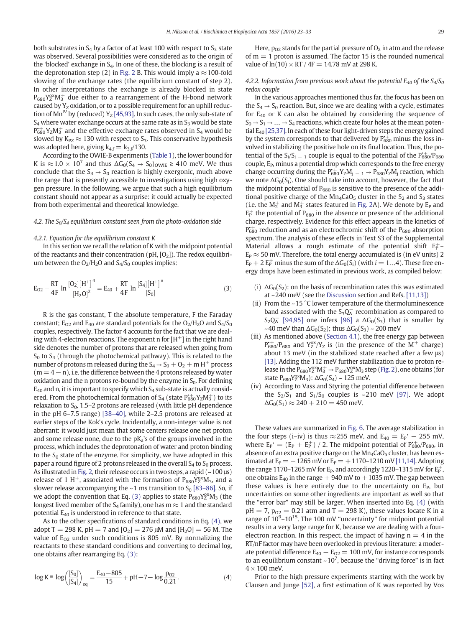<span id="page-6-0"></span>both substrates in  $S_4$  by a factor of at least 100 with respect to  $S_3$  state was observed. Several possibilities were considered as to the origin of the 'blocked' exchange in  $S_4$ . In one of these, the blocking is a result of the deprotonation step (2) in [Fig. 2](#page-1-0) B. This would imply a  $\approx$  100-fold slowing of the exchange rates (the equilibrium constant of step 2). In other interpretations the exchange is already blocked in state  $P_{680}Y_2^{ox}M_3^+$  due either to a rearrangement of the H-bond network caused by  $Y_Z$  oxidation, or to a possible requirement for an uphill reduc-tion of Mn<sup>IV</sup> by (reduced) Y<sub>Z</sub> [\[45,93\]](#page-9-0). In such cases, the only sub-state of  $S_4$  where water exchange occurs at the same rate as in  $S_3$  would be state  $\rm P_{680}^{*+}$ Y<sub>Z</sub>M $_3^+$  and the effective exchange rates observed in S<sub>4</sub> would be slowed by  $K_{PZ} \approx 130$  with respect to  $S_3$ . This conservative hypothesis was adopted here, giving  $k_{4,f} = k_{3,f}/130$ .

According to the OWIE-B experiments ([Table 1](#page-5-0)), the lower bound for K is  $\approx$  1.0 × 10<sup>7</sup> and thus  $\Delta G_0(S_4 \rightarrow S_0)_{\text{OWIE}} \geq 410$  meV. We thus conclude that the  $S_4 \rightarrow S_0$  reaction is highly exergonic, much above the range that is presently accessible to investigations using high oxygen pressure. In the following, we argue that such a high equilibrium constant should not appear as a surprise: it could actually be expected from both experimental and theoretical knowledge.

# 4.2. The  $S_0/S_4$  equilibrium constant seen from the photo-oxidation side

# 4.2.1. Equation for the equilibrium constant K

In this section we recall the relation of K with the midpoint potential of the reactants and their concentration ( $pH$ ,  $[O_2]$ ). The redox equilibrium between the  $O_2/H_2O$  and  $S_4/S_0$  couples implies:

$$
E_{O2} + \frac{RT}{4F} \ln \frac{[O_2] [H^+]^4}{[H_2 O]^2} = E_{40} + \frac{RT}{4F} \ln \frac{[S_4] [H^+]^n}{[S_0]}
$$
(3)

R is the gas constant, T the absolute temperature, F the Faraday constant;  $E_{O2}$  and  $E_{40}$  are standard potentials for the  $O_2/H_2O$  and  $S_4/S_0$ couples, respectively. The factor 4 accounts for the fact that we are dealing with 4-electron reactions. The exponent n for  $[H^+]$  in the right hand side denotes the number of protons that are released when going from  $S_0$  to  $S_4$  (through the photochemical pathway). This is related to the number of protons m released during the  $S_4 \rightarrow S_0 + O_2 + m H^+$  process  $(m= 4 - n)$ , i.e. the difference between the 4 protons released by water oxidation and the n protons re-bound by the enzyme in  $S_0$ . For defining  $E_{40}$  and n, it is important to specify which  $S_4$  sub-state is actually considered. From the photochemical formation of S<sub>4</sub> (state  $\rm P^{*+}_{680}Y_{Z}M^{+}_{3})$  to its relaxation to  $S_0$ , 1.5–2 protons are released (with little pH dependence in the pH 6–7.5 range) [\[38](#page-9-0)–40], while 2–2.5 protons are released at earlier steps of the Kok's cycle. Incidentally, a non-integer value is not aberrant: it would just mean that some centers release one net proton and some release none, due to the  $pK_a$ 's of the groups involved in the process, which includes the deprotonation of water and proton binding to the  $S_0$  state of the enzyme. For simplicity, we have adopted in this paper a round figure of 2 protons released in the overall  $S_4$  to  $S_0$  process. As illustrated in [Fig. 2,](#page-1-0) their release occurs in two steps, a rapid  $(-100 \,\mu s)$ release of 1 H<sup>+</sup>, associated with the formation of  $P_{680}Y_Z^{ox}M_3$ , and a slower release accompanying the  $\sim$  1 ms transition to S<sub>0</sub> [\[83](#page-10-0)–86]. So, if we adopt the convention that Eq. (3) applies to state  $P_{680}Y_Z^{ox}M_3$  (the longest lived member of the  $S_4$  family), one has m  $\approx$  1 and the standard potential  $E_{40}$  is understood in reference to that state.

As to the other specifications of standard conditions in Eq. (4), we adopt T = 298 K, pH = 7 and  $[0_2]$  = 276  $\mu$ M and  $[H_2O]$  = 56 M. The value of  $E_{O2}$  under such conditions is 805 mV. By normalizing the reactants to these standard conditions and converting to decimal log, one obtains after rearranging Eq. (3):

$$
\log K \equiv \log\left(\frac{[S_0]}{[S_4]}\right)_{eq} = \frac{E_{40} - 805}{15} + pH - 7 - \log\frac{p_{02}}{0.21}.
$$
 (4)

Here,  $p_{02}$  stands for the partial pressure of  $O_2$  in atm and the release of  $m = 1$  proton is assumed. The factor 15 is the rounded numerical value of  $ln(10) \times RT / 4F = 14.78$  mV at 298 K.

# 4.2.2. Information from previous work about the potential  $E_{40}$  of the  $S_4/S_0$ redox couple

In the various approaches mentioned thus far, the focus has been on the  $S_4 \rightarrow S_0$  reaction. But, since we are dealing with a cycle, estimates for E40 or K can also be obtained by considering the sequence of  $S_0 \rightarrow S_1 \rightarrow \ldots \rightarrow S_4$  reactions, which create four holes at the mean potential  $E_{40}$  [\[25,37\].](#page-9-0) In each of these four light-driven steps the energy gained by the system corresponds to that delivered by  $P_{680}^{+}$  minus the loss involved in stabilizing the positive hole on its final location. Thus, the potential of the  $S_i/S_i = 1$  couple is equal to the potential of the  $P_{680}^{+}/P_{680}$ couple,  $E_P$ , minus a potential drop which corresponds to the free energy change occurring during the  $P_{680}^{+}Y_ZM_{j-1} \rightarrow P_{680}Y_ZM_{j}$  reaction, which we note  $\Delta G_0(S_i)$ . One should take into account, however, the fact that the midpoint potential of  $P_{680}$  is sensitive to the presence of the additional positive charge of the  $Mn_4CaO<sub>5</sub>$  cluster in the  $S<sub>2</sub>$  and  $S<sub>3</sub>$  states (i.e. the  $M_2^+$  and  $M_3^+$  states featured in [Fig. 2A](#page-1-0)). We denote by  $E_P$  and  $E_P^+$  the potential of  $P_{680}$  in the absence or presence of the additional charge, respectively. Evidence for this effect appears in the kinetics of  $P_{680}^{+}$  reduction and as an electrochromic shift of the  $P_{680}$  absorption spectrum. The analysis of these effects in Text S3 of the Supplemental Material allows a rough estimate of the potential shift  $E_P^+$ - $E_P \approx 50$  mV. Therefore, the total energy accumulated is (in eV units) 2  $E_P + 2 E_P^+$  minus the sum of the  $\Delta G_0(S_i)$  (with  $i = 1...4$ ). These free energy drops have been estimated in previous work, as compiled below:

- (i)  $\Delta G_0(S_2)$ : on the basis of recombination rates this was estimated at ~240 meV (see the [Discussion](#page-5-0) section and Refs. [\[11,13\]\)](#page-9-0)
- (ii) From the ~15 °C lower temperature of the thermoluminescence band associated with the  $S_3Q_A^-$  recombination as compared to  $S_2Q_A^-$  [\[94,95\]](#page-10-0) one infers [\[96\]](#page-10-0) a  $\Delta G_0(S_3)$  that is smaller by ~40 meV than  $\Delta G_0(S_2)$ ; thus  $\Delta G_0(S_3)$  ~ 200 meV
- (iii) As mentioned above [\(Section 4.1\)](#page-5-0), the free energy gap between  $P_{680}^{+}/P_{680}$  and  $Y_Z^{0x}/Y_Z$  is (in the presence of the M<sup>+</sup> charge) about 13 meV (in the stabilized state reached after a few μs) [\[13\].](#page-9-0) Adding the 112 meV further stabilization due to proton release in the  $P_{680}Y_Z^{ox}M_3^+ \rightarrow P_{680}Y_Z^{ox}M_3$  step [\(Fig. 2](#page-1-0)), one obtains (for state  $P_{680}Y_Z^{ox}M_3$ ):  $\Delta G_0(S_4) \sim 125$  meV.
- (iv) According to Vass and Styring the potential difference between the  $S_2/S_1$  and  $S_1/S_0$  couples is ~210 meV [\[97\]](#page-10-0). We adopt  $\Delta G_0(S_1) \approx 240 + 210 = 450$  meV.

These values are summarized in [Fig. 6.](#page-7-0) The average stabilization in the four steps (i–iv) is thus  $\approx$  255 meV, and E<sub>40</sub> = E<sub>P</sub><sup> $\prime$ </sup> - 255 mV, where  $E_P' = (E_P + E_P^+) / 2$ . The midpoint potential of  $P_{680}^+/P_{680}$ , in absence of an extra positive charge on the  $Mn_4$ CaO<sub>5</sub> cluster, has been estimated at  $E_P = +1265$  mV or  $E_P = +1170-1210$  mV [\[11,14\]](#page-9-0). Adopting the range 1170–1265 mV for  $E_P$ , and accordingly 1220–1315 mV for  $E_P^+$ , one obtains  $E_{40}$  in the range  $+$  940 mV to  $+$  1035 mV. The gap between these values is here entirely due to the uncertainty on  $E<sub>P</sub>$ , but uncertainties on some other ingredients are important as well so that the "error bar" may still be larger. When inserted into Eq. (4) (with  $pH = 7$ ,  $p_{02} = 0.21$  atm and T = 298 K), these values locate K in a range of 10<sup>9</sup>-10<sup>15</sup>. The 100 mV "uncertainty" for midpoint potential results in a very large range for K, because we are dealing with a fourelectron reaction. In this respect, the impact of having  $n = 4$  in the RT/nF factor may have been overlooked in previous literature: a moderate potential difference  $E_{40} - E_{02} = 100$  mV, for instance corresponds to an equilibrium constant  $\sim$  10<sup>7</sup>, because the "driving force" is in fact  $4 \times 100$  meV.

Prior to the high pressure experiments starting with the work by Clausen and Junge [\[52\],](#page-10-0) a first estimation of K was reported by Vos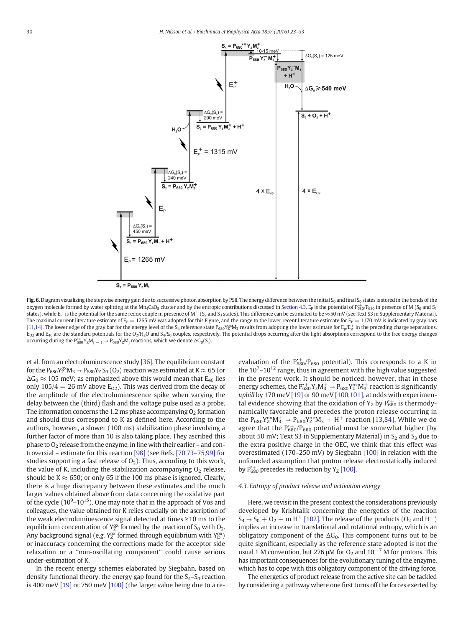<span id="page-7-0"></span>

 $S_0 = P_{680} Y_z M_0$ 

Fig. 6. Diagram visualizing the stepwise energy gain due to successive photon absorption by PSII. The energy difference between the initial S<sub>0</sub> and final S<sub>0</sub> states is stored in the bonds of the oxygen molecule formed by water splitting at the Mn<sub>4</sub>CaO<sub>5</sub> cluster and by the entropic contributions discussed in Section 4.3. E<sub>p</sub> is the potential of  $P_{680}^{*}$  $P_{680}$  in presence of M (S<sub>0</sub> and S<sub>1</sub> states), while E<sub>P</sub> is the potential for the same redox couple in presence of M<sup>+</sup> (S<sub>2</sub> and S<sub>3</sub> states). This difference can be estimated to be  $\approx$  50 mV (see Text S3 in Supplementary Material). The maximal current literature estimate of  $E_P = 1265$  mV was adopted for this Figure, and the range to the lower recent literature estimate for  $E_P = 1170$  mV is indicated by gray bars [\[11,14\].](#page-9-0) The lower edge of the gray bar for the energy level of the S<sub>4</sub> reference state P<sub>680</sub>Y<sup>ox</sup>M<sub>3</sub> results from adopting the lower estimate for E<sub>p</sub>/E<sub>p</sub><sup>+</sup> in the preceding charge separations.  $E_{O2}$  and  $E_{40}$  are the standard potentials for the O<sub>2</sub>/H<sub>2</sub>O and S<sub>4</sub>/S<sub>0</sub> couples, respectively. The potential drops occurring after the light absorptions correspond to the free energy changes occurring during the  $P_{680}^{+}Y_ZM_{j-1} \rightarrow P_{680}Y_ZM_j$  reactions, which we denote  $\Delta G_0(S_i)$ .

et al. from an electroluminescence study [\[36\]](#page-9-0). The equilibrium constant for the  $P_{680}Y_Z^{0x}M_3 \to P_{680}Y_Z S_0 (O_2)$  reaction was estimated at K  $\approx$  65 (or  $\Delta G_0 \approx 105$  meV; as emphasized above this would mean that E<sub>40</sub> lies only  $105/4 = 26$  mV above  $E_{O2}$ ). This was derived from the decay of the amplitude of the electroluminescence spike when varying the delay between the (third) flash and the voltage pulse used as a probe. The information concerns the 1.2 ms phase accompanying  $O<sub>2</sub>$  formation and should thus correspond to K as defined here. According to the authors, however, a slower (100 ms) stabilization phase involving a further factor of more than 10 is also taking place. They ascribed this phase to  $O_2$  release from the enzyme, in line with their earlier – and controversial – estimate for this reaction [\[98\]](#page-10-0) (see Refs. [70,73–[75,99\]](#page-10-0) for studies supporting a fast release of  $O<sub>2</sub>$ ). Thus, according to this work, the value of K, including the stabilization accompanying  $O<sub>2</sub>$  release, should be K  $\approx$  650; or only 65 if the 100 ms phase is ignored. Clearly, there is a huge discrepancy between these estimates and the much larger values obtained above from data concerning the oxidative part of the cycle  $(10^9 - 10^{15})$ . One may note that in the approach of Vos and colleagues, the value obtained for K relies crucially on the ascription of the weak electroluminescence signal detected at times ≥10 ms to the equilibrium concentration of  $Y_Z^{ox}$  formed by the reaction of  $S_0$  with  $O_2$ . Any background signal (e.g.  $Y_Z^{ox}$  formed through equilibrium with  $Y_D^{ox}$ ) or inaccuracy concerning the corrections made for the acceptor side relaxation or a "non-oscillating component" could cause serious under-estimation of K.

In the recent energy schemes elaborated by Siegbahn, based on density functional theory, the energy gap found for the  $S_4-S_0$  reaction is 400 meV [\[19\]](#page-9-0) or 750 meV [\[100\]](#page-10-0) (the larger value being due to a reevaluation of the  $P_{680}^{+}/P_{680}$  potential). This corresponds to a K in the  $10^{7}$ – $10^{12}$  range, thus in agreement with the high value suggested in the present work. It should be noticed, however, that in these energy schemes, the  $P_{680}^+Y_zM_3^+ \rightarrow P_{680}Y_2^{ox}M_3^+$  reaction is significantly uphill by 170 meV [\[19\]](#page-9-0) or 90 meV [\[100,101\]](#page-10-0), at odds with experimental evidence showing that the oxidation of  $Y_Z$  by  $P_{680}^{+}$  is thermodynamically favorable and precedes the proton release occurring in the  $P_{680}Y_Z^{0x}M_3^+ \to P_{680}Y_Z^{0x}M_3 + H^+$  reaction [\[13,84\].](#page-9-0) While we do agree that the  $P_{680}^{+}/P_{680}$  potential must be somewhat higher (by about 50 mV; Text S3 in Supplementary Material) in  $S_2$  and  $S_3$  due to the extra positive charge in the OEC, we think that this effect was overestimated (170–250 mV) by Siegbahn [\[100\]](#page-10-0) in relation with the unfounded assumption that proton release electrostatically induced by  $P_{680}^{+}$  precedes its reduction by  $Y_Z$  [\[100\].](#page-10-0)

#### 4.3. Entropy of product release and activation energy

Here, we revisit in the present context the considerations previously developed by Krishtalik concerning the energetics of the reaction  $S_4 \rightarrow S_0 + O_2 + m H^+$  [\[102\].](#page-10-0) The release of the products (O<sub>2</sub> and H<sup>+</sup>) implies an increase in translational and rotational entropy, which is an obligatory component of the  $\Delta G_0$ . This component turns out to be quite significant, especially as the reference state adopted is not the usual 1 M convention, but 276 μM for O<sub>2</sub> and  $10^{-7}$  M for protons. This has important consequences for the evolutionary tuning of the enzyme, which has to cope with this obligatory component of the driving force.

The energetics of product release from the active site can be tackled by considering a pathway where one first turns off the forces exerted by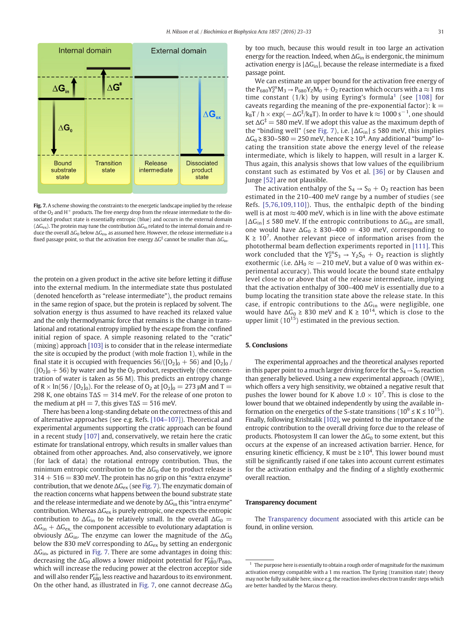

Fig. 7. A scheme showing the constraints to the energetic landscape implied by the release of the  $O_2$  and H<sup>+</sup> products. The free energy drop from the release intermediate to the dissociated product state is essentially entropic (blue) and occurs in the external domain  $(\Delta G_{\text{ex}})$ . The protein may tune the contribution  $\Delta G_{\text{in}}$  related to the internal domain and reduce the overall  $\Delta G_0$  below  $\Delta G_{\text{ex}}$ , as assumed here. However, the release intermediate is a fixed passage point, so that the activation free energy  $\Delta G^{\ddagger}$  cannot be smaller than  $\Delta G_{\rm in}$ .

the protein on a given product in the active site before letting it diffuse into the external medium. In the intermediate state thus postulated (denoted henceforth as "release intermediate"), the product remains in the same region of space, but the protein is replaced by solvent. The solvation energy is thus assumed to have reached its relaxed value and the only thermodynamic force that remains is the change in translational and rotational entropy implied by the escape from the confined initial region of space. A simple reasoning related to the "cratic" (mixing) approach [\[103\]](#page-10-0) is to consider that in the release intermediate the site is occupied by the product (with mole fraction 1), while in the final state it is occupied with frequencies  $56/([O_2]_0 + 56)$  and  $[O_2]_0$  /  $([O_2]_0 + 56)$  by water and by the O<sub>2</sub> product, respectively (the concentration of water is taken as 56 M). This predicts an entropy change of R  $\times$  ln(56 / [O<sub>2</sub>]<sub>0</sub>). For the release of O<sub>2</sub> at [O<sub>2</sub>]<sub>0</sub> = 273 µM and T = 298 K, one obtains  $T\Delta S = 314$  meV. For the release of one proton to the medium at  $pH = 7$ , this gives  $T\Delta S = 516$  meV.

There has been a long-standing debate on the correctness of this and of alternative approaches (see e.g. Refs. [104–[107\]\)](#page-10-0). Theoretical and experimental arguments supporting the cratic approach can be found in a recent study [\[107\]](#page-10-0) and, conservatively, we retain here the cratic estimate for translational entropy, which results in smaller values than obtained from other approaches. And, also conservatively, we ignore (for lack of data) the rotational entropy contribution. Thus, the minimum entropic contribution to the  $\Delta G_0$  due to product release is  $314 + 516 = 830$  meV. The protein has no grip on this "extra enzyme" contribution, that we denote  $\Delta G_{\rm ex}$  (see Fig. 7). The enzymatic domain of the reaction concerns what happens between the bound substrate state and the release intermediate and we denote by  $\Delta G_{\text{in}}$  this "intra enzyme" contribution. Whereas  $\Delta G_{\rm ex}$  is purely entropic, one expects the entropic contribution to  $\Delta G_{\text{in}}$  to be relatively small. In the overall  $\Delta G_0$  =  $\Delta G_{\text{in}} + \Delta G_{\text{ex}}$ , the component accessible to evolutionary adaptation is obviously  $\Delta G_{\text{in}}$ . The enzyme can lower the magnitude of the  $\Delta G_0$ below the 830 meV corresponding to  $\Delta G_{\rm ex}$  by setting an endergonic  $\Delta G_{\text{in}}$ , as pictured in Fig. 7. There are some advantages in doing this: decreasing the  $\Delta\mathsf{G}_0$  allows a lower midpoint potential for  $\mathrm{P}^{\ast-680/\mathrm{P}_{680},}$ which will increase the reducing power at the electron acceptor side and will also render P $_{\rm 680}^{*+}$  less reactive and hazardous to its environment. On the other hand, as illustrated in Fig. 7, one cannot decrease  $\Delta G_0$  by too much, because this would result in too large an activation energy for the reaction. Indeed, when  $\Delta G_{\text{in}}$  is endergonic, the minimum activation energy is  $|\Delta G_{\text{in}}|$ , because the release intermediate is a fixed passage point.

We can estimate an upper bound for the activation free energy of the  $P_{680}Y_Z^{ox}M_3 \rightarrow P_{680}Y_ZM_0 + O_2$  reaction which occurs with a  $\approx$  1 ms time constant  $(1/k)$  by using Eyring's formula<sup>1</sup> (see [\[108\]](#page-10-0) for caveats regarding the meaning of the pre-exponential factor):  $k =$  $\rm{k_B T}$  /  $\rm{h}\times \rm{exp}(-\Delta G^{\ddagger}/\rm{k_B}T).$  In order to have  $\rm{k}\approx 1000~s^{-1},$  one should set  $\Delta G^{\ddagger}$  = 580 meV. If we adopt this value as the maximum depth of the "binding well" (see Fig. 7), i.e.  $|\Delta G_{\text{in}}| \leq 580$  meV, this implies  $\Delta\mathsf{G}_0$  ≥ 830–580 = 250 meV, hence K ≥ 10<sup>4</sup>. Any additional "bump" locating the transition state above the energy level of the release intermediate, which is likely to happen, will result in a larger K. Thus again, this analysis shows that low values of the equilibrium constant such as estimated by Vos et al. [\[36\]](#page-9-0) or by Clausen and Junge [\[52\]](#page-10-0) are not plausible.

The activation enthalpy of the  $S_4 \rightarrow S_0 + O_2$  reaction has been estimated in the 210–400 meV range by a number of studies (see Refs. [\[5,76,109,110\]](#page-9-0)). Thus, the enthalpic depth of the binding well is at most  $\approx$  400 meV, which is in line with the above estimate  $|\Delta G_{\text{in}}| \leq 580$  meV. If the entropic contributions to  $\Delta G_{\text{in}}$  are small, one would have  $\Delta G_0 \geq 830-400 = 430$  meV, corresponding to  $K \geq 10^7$ . Another relevant piece of information arises from the photothermal beam deflection experiments reported in [\[111\].](#page-10-0) This work concluded that the  $Y_2^{0x}S_3 \rightarrow Y_ZS_0 + O_2$  reaction is slightly exothermic (i.e.  $\Delta H_0 \approx -210$  meV, but a value of 0 was within experimental accuracy). This would locate the bound state enthalpy level close to or above that of the release intermediate, implying that the activation enthalpy of 300–400 meV is essentially due to a bump locating the transition state above the release state. In this case, if entropic contributions to the  $\Delta G_{\text{in}}$  were negligible, one would have  $\Delta G_0 \geq 830$  meV and  $K \geq 10^{14}$ , which is close to the upper limit  $(10^{15})$  estimated in the previous section.

# 5. Conclusions

The experimental approaches and the theoretical analyses reported in this paper point to a much larger driving force for the  $S_4 \rightarrow S_0$  reaction than generally believed. Using a new experimental approach (OWIE), which offers a very high sensitivity, we obtained a negative result that pushes the lower bound for K above  $1.0 \times 10^7$ . This is close to the lower bound that we obtained independently by using the available information on the energetics of the S-state transitions ( $10^9 \le K \le 10^{15}$ ). Finally, following Krishtalik [\[102\],](#page-10-0) we pointed to the importance of the entropic contribution to the overall driving force due to the release of products. Photosystem II can lower the  $\Delta G_0$  to some extent, but this occurs at the expense of an increased activation barrier. Hence, for ensuring kinetic efficiency, K must be  $\geq 10^4$ . This lower bound must still be significantly raised if one takes into account current estimates for the activation enthalpy and the finding of a slightly exothermic overall reaction.

#### Transparency document

The [Transparency document](http://creativecommons.org/licenses/by-nc-nd/4.0/) associated with this article can be found, in online version.

<sup>1</sup> The purpose here is essentially to obtain a rough order of magnitude for the maximum activation energy compatible with a 1 ms reaction. The Eyring (transition state) theory may not be fully suitable here, since e.g. the reaction involves electron transfer steps which are better handled by the Marcus theory.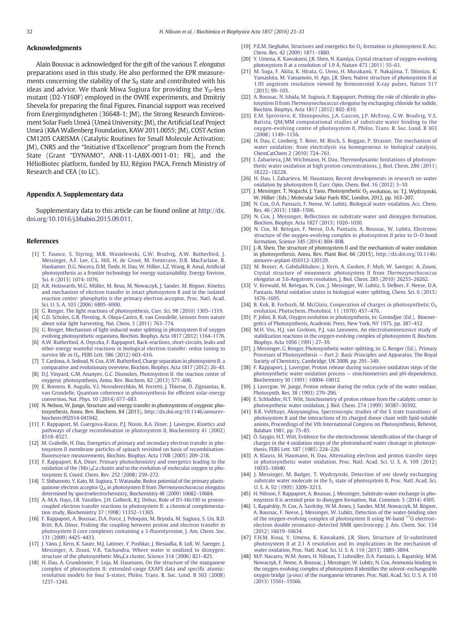# <span id="page-9-0"></span>Acknowledgments

Alain Boussac is acknowledged for the gift of the various T. elongatus preparations used in this study. He also performed the EPR measurements concerning the stability of the  $S_0$  state and contributed with his ideas and advice. We thank Miwa Sugiura for providing the  $Y_D$ -less mutant (D2-Y160F) employed in the OWIE experiments, and Dmitriy Shevela for preparing the final Figures. Financial support was received from Energimyndigheten (36648-1; JM), the Strong Research Environment Solar Fuels Umeå (Umeå University; JM), the Artificial Leaf Project Umeå (K&A Wallenberg Foundation, KAW 2011.0055; JM), COST Action CM1205 CARISMA (Catalytic Routines for Small Molecule Activation; JM), CNRS and the "Initiative d'Excellence" program from the French State (Grant "DYNAMO", ANR-11-LABX-0011-01; FR), and the HélioBiotec platform, funded by EU, Région PACA, French Ministry of Research and CEA (to LC).

# Appendix A. Supplementary data

Supplementary data to this article can be found online at [http://dx.](http://dx.doi.org/10.1016/j.bbabio.2015.09.011) [doi.org/10.1016/j.bbabio.2015.09.011.](http://dx.doi.org/10.1016/j.bbabio.2015.09.011)

### References

- [1] [T. Faunce, S. Styring, M.R. Wasielewski, G.W. Brudvig, A.W. Rutherford, J.](http://refhub.elsevier.com/S0005-2728(15)00199-1/rf0005) [Messinger, A.F. Lee, C.L. Hill, H. de Groot, M. Fontecave, D.R. MacFarlane, B.](http://refhub.elsevier.com/S0005-2728(15)00199-1/rf0005) [Hankamer, D.G. Nocera, D.M. Tiede, H. Dau, W. Hillier, L.Z. Wang, R. Amal, Arti](http://refhub.elsevier.com/S0005-2728(15)00199-1/rf0005)ficial [photosynthesis as a frontier technology for energy sustainability, Energy Environ.](http://refhub.elsevier.com/S0005-2728(15)00199-1/rf0005) [Sci. 6 \(2013\) 1074](http://refhub.elsevier.com/S0005-2728(15)00199-1/rf0005)–1076.
- [2] [A.R. Holzwarth, M.G. Müller, M. Reus, M. Nowaczyk, J. Sander, M. Rögner, Kinetics](http://refhub.elsevier.com/S0005-2728(15)00199-1/rf0010) [and mechanism of electron transfer in intact photosystem II and in the isolated](http://refhub.elsevier.com/S0005-2728(15)00199-1/rf0010) [reaction center: pheophytin is the primary electron acceptor, Proc. Natl. Acad.](http://refhub.elsevier.com/S0005-2728(15)00199-1/rf0010) [Sci. U. S. A. 103 \(2006\) 6895](http://refhub.elsevier.com/S0005-2728(15)00199-1/rf0010)–6900.
- [3] [G. Renger, The light reactions of photosynthesis, Curr. Sci. 98 \(2010\) 1305](http://refhub.elsevier.com/S0005-2728(15)00199-1/rf0015)–1319.
- [4] [G.D. Scholes, G.R. Fleming, A. Olaya-Castro, R. van Grondelle, Lessons from nature](http://refhub.elsevier.com/S0005-2728(15)00199-1/rf0020) [about solar light harvesting, Nat. Chem. 3 \(2011\) 763](http://refhub.elsevier.com/S0005-2728(15)00199-1/rf0020)–774.
- [5] [G. Renger, Mechanism of light induced water splitting in photosystem II of oxygen](http://refhub.elsevier.com/S0005-2728(15)00199-1/rf0025) evolving photosynthetic organisms, [Biochim. Biophys. Acta 1817 \(2012\) 1164](http://refhub.elsevier.com/S0005-2728(15)00199-1/rf0025)–1176.
- [6] [A.W. Rutherford, A. Osyczka, F. Rappaport, Back-reactions, short-circuits, leaks and](http://refhub.elsevier.com/S0005-2728(15)00199-1/rf0030) [other energy wasteful reactions in biological electron transfer: redox tuning to](http://refhub.elsevier.com/S0005-2728(15)00199-1/rf0030) survive life in  $O<sub>2</sub>$ , FEBS Lett. 586 (2012) 603-616.
- [7] [T. Cardona, A. Sedoud, N. Cox, A.W. Rutherford, Charge separation in photosystem II: a](http://refhub.elsevier.com/S0005-2728(15)00199-1/rf0035) [comparative and evolutionary overview, Biochim. Biophys. Acta 1817 \(2012\) 26](http://refhub.elsevier.com/S0005-2728(15)00199-1/rf0035)–43.
- [8] [D.J. Vinyard, G.M. Ananyev, G.C. Dismukes, Photosystem II: the reaction center of](http://refhub.elsevier.com/S0005-2728(15)00199-1/rf0040) [oxygenic photosynthesis, Annu. Rev. Biochem. 82 \(2013\) 577](http://refhub.elsevier.com/S0005-2728(15)00199-1/rf0040)–606.
- [9] [E. Romero, R. Augulis, V.I. Novoderezhkin, M. Ferretti, J. Thieme, D. Zigmantas, R.](http://refhub.elsevier.com/S0005-2728(15)00199-1/rf0045) [van Grondelle, Quantum coherence in photosynthesis for ef](http://refhub.elsevier.com/S0005-2728(15)00199-1/rf0045)ficient solar-energy [conversion, Nat. Phys. 10 \(2014\) 677](http://refhub.elsevier.com/S0005-2728(15)00199-1/rf0045)–683.
- [10] N. Nelson, W. Junge, Structure and energy transfer in photosystems of oxygenic photosynthesis, Annu. Rev. Biochem. 84 (2015), http://dx.doi.org/[10.1146/annurev](http://dx.doi.org/10.1146/annurev-biochem-092914-041942)[biochem-092914-041942](http://dx.doi.org/10.1146/annurev-biochem-092914-041942).
- [11] [F. Rappaport, M. Guergova-Kuras, P.J. Nixon, B.A. Diner, J. Lavergne, Kinetics and](http://refhub.elsevier.com/S0005-2728(15)00199-1/rf0055) [pathways of charge recombination in photosystem II, Biochemistry 41 \(2002\)](http://refhub.elsevier.com/S0005-2728(15)00199-1/rf0055) [8518](http://refhub.elsevier.com/S0005-2728(15)00199-1/rf0055)–8527.
- [12] [M. Grabolle, H. Dau, Energetics of primary and secondary electron transfer in pho](http://refhub.elsevier.com/S0005-2728(15)00199-1/rf0060)[tosystem II membrane particles of spinach revisited on basis of recombination](http://refhub.elsevier.com/S0005-2728(15)00199-1/rf0060)fl[uorescence measurements, Biochim. Biophys. Acta 1708 \(2005\) 209](http://refhub.elsevier.com/S0005-2728(15)00199-1/rf0060)–218.
- [13] [F. Rappaport, B.A. Diner, Primary photochemistry and energetics leading to the](http://refhub.elsevier.com/S0005-2728(15)00199-1/rf0065) [oxidation of the \(Mn\)4Ca cluster and to the evolution of molecular oxygen in pho](http://refhub.elsevier.com/S0005-2728(15)00199-1/rf0065)[tosystem II, Coord. Chem. Rev. 252 \(2008\) 259](http://refhub.elsevier.com/S0005-2728(15)00199-1/rf0065)–272.
- [14] [T. Shibamoto, Y. Kato, M. Sugiura, T. Watanabe, Redox potential of the primary plasto](http://refhub.elsevier.com/S0005-2728(15)00199-1/rf0070)quinone electron acceptor  $Q_A$  in photosystem II from [Thermosynechococcus elongatus](http://refhub.elsevier.com/S0005-2728(15)00199-1/rf0070) [determined by spectroelectrochemistry, Biochemistry 48 \(2009\) 10682](http://refhub.elsevier.com/S0005-2728(15)00199-1/rf0070)–10684.
- [15] [A.-M.A. Hays, I.R. Vassiliev, J.H. Golbeck, R.J. Debus, Role of D1-His190 in proton](http://refhub.elsevier.com/S0005-2728(15)00199-1/rf0075)[coupled electron transfer reactions in photosystem II: a chemical complementa](http://refhub.elsevier.com/S0005-2728(15)00199-1/rf0075)[tion study, Biochemistry 37 \(1998\) 11352](http://refhub.elsevier.com/S0005-2728(15)00199-1/rf0075)–11365.
- [16] [F. Rappaport, A. Boussac, D.A. Force, J. Peloquin, M. Brynda, M. Sugiura, S. Un, R.D.](http://refhub.elsevier.com/S0005-2728(15)00199-1/rf0080) [Britt, B.A. Diner, Probing the coupling between proton and electron transfer in](http://refhub.elsevier.com/S0005-2728(15)00199-1/rf0080) [photosystem II core complexes containing a 3-](http://refhub.elsevier.com/S0005-2728(15)00199-1/rf0080)fluorotyrosine, J. Am. Chem. Soc. [131 \(2009\) 4425](http://refhub.elsevier.com/S0005-2728(15)00199-1/rf0080)–4433.
- [17] [J. Yano, J. Kern, K. Sauer, M.J. Latimer, Y. Pushkar, J. Biesiadka, B. Loll, W. Saenger, J.](http://refhub.elsevier.com/S0005-2728(15)00199-1/rf0085) [Messinger, A. Zouni, V.K. Yachandra, Where water is oxidized to dioxygen:](http://refhub.elsevier.com/S0005-2728(15)00199-1/rf0085) structure of the photosynthetic Mn<sub>4</sub>Ca cluster, Science 314 (2006) 821-825.
- [18] [H. Dau, A. Grundmeier, P. Loja, M. Haumann, On the structure of the manganese](http://refhub.elsevier.com/S0005-2728(15)00199-1/rf0090) [complex of photosystem II: extended-range EXAFS data and speci](http://refhub.elsevier.com/S0005-2728(15)00199-1/rf0090)fic atomic[resolution models for four S-states, Philos. Trans. R. Soc. Lond. B 363 \(2008\)](http://refhub.elsevier.com/S0005-2728(15)00199-1/rf0090) 1237–[1243.](http://refhub.elsevier.com/S0005-2728(15)00199-1/rf0090)
- [19] P.E.M. Siegbahn, Structures and energetics for  $O<sub>2</sub>$  [formation in photosystem II, Acc.](http://refhub.elsevier.com/S0005-2728(15)00199-1/rf0095) [Chem. Res. 42 \(2009\) 1871](http://refhub.elsevier.com/S0005-2728(15)00199-1/rf0095)–1880.
- [20] [Y. Umena, K. Kawakami, J.R. Shen, N. Kamiya, Crystal structure of oxygen-evolving](http://refhub.elsevier.com/S0005-2728(15)00199-1/rf0100) [photosystem II at a resolution of 1.9 Å, Nature 473 \(2011\) 55](http://refhub.elsevier.com/S0005-2728(15)00199-1/rf0100)–61.
- [21] [M. Suga, F. Akita, K. Hirata, G. Ueno, H. Murakami, Y. Nakajima, T. Shimizu, K.](http://refhub.elsevier.com/S0005-2728(15)00199-1/rf0105) [Yamashita, M. Yamamoto, H. Ago, J.R. Shen, Native structure of photosystem II at](http://refhub.elsevier.com/S0005-2728(15)00199-1/rf0105) [1.95 angstrom resolution viewed by femtosecond X-ray pulses, Nature 517](http://refhub.elsevier.com/S0005-2728(15)00199-1/rf0105) [\(2015\) 99](http://refhub.elsevier.com/S0005-2728(15)00199-1/rf0105)–103.
- [22] [A. Boussac, N. Ishida, M. Sugiura, F. Rappaport, Probing the role of chloride in pho](http://refhub.elsevier.com/S0005-2728(15)00199-1/rf0110)tosystem II from Thermosynechococcus elongatus [by exchanging chloride for iodide,](http://refhub.elsevier.com/S0005-2728(15)00199-1/rf0110) [Biochim. Biophys. Acta 1817 \(2012\) 802](http://refhub.elsevier.com/S0005-2728(15)00199-1/rf0110)–810.
- [23] [E.M. Sproviero, K. Shinopoulos, J.A. Gascon, J.P. McEvoy, G.W. Brudvig, V.S.](http://refhub.elsevier.com/S0005-2728(15)00199-1/rf0115) [Batista, QM/MM computational studies of substrate water binding to the](http://refhub.elsevier.com/S0005-2728(15)00199-1/rf0115) [oxygen-evolving centre of photosystem](http://refhub.elsevier.com/S0005-2728(15)00199-1/rf0115) II, Philos. Trans. R. Soc. Lond. B 363 [\(2008\) 1149](http://refhub.elsevier.com/S0005-2728(15)00199-1/rf0115)–1156.
- [24] [H. Dau, C. Limberg, T. Reier, M. Risch, S. Roggan, P. Strasser, The mechanism of](http://refhub.elsevier.com/S0005-2728(15)00199-1/rf0120) [water oxidation: from electrolysis via homogeneous to biological catalysis,](http://refhub.elsevier.com/S0005-2728(15)00199-1/rf0120) [ChemCatChem 2 \(2010\) 724](http://refhub.elsevier.com/S0005-2728(15)00199-1/rf0120)–761.
- [25] [I. Zaharieva, J.M. Wichmann, H. Dau, Thermodynamic limitations of photosyn](http://refhub.elsevier.com/S0005-2728(15)00199-1/rf0125)[thetic water oxidation at high proton concentrations, J. Biol. Chem. 286 \(2011\)](http://refhub.elsevier.com/S0005-2728(15)00199-1/rf0125) 18222–[18228.](http://refhub.elsevier.com/S0005-2728(15)00199-1/rf0125)
- [26] [H. Dau, I. Zaharieva, M. Haumann, Recent developments in research on water](http://refhub.elsevier.com/S0005-2728(15)00199-1/rf0130) [oxidation by photosystem II, Curr. Opin. Chem. Biol. 16 \(2012\) 3](http://refhub.elsevier.com/S0005-2728(15)00199-1/rf0130)–10.
- [27] J. Messinger, T. Noguchi, J. Yano, Photosynthetic O<sub>2</sub> evolution, in: T.J. Wydrzynski, W. Hillier (Eds.) Molecular Solar Fuels RSC, London, 2012, pp. 163–207.
- [28] [N. Cox, D.A. Pantazis, F. Neese, W. Lubitz, Biological water oxidation, Acc. Chem.](http://refhub.elsevier.com/S0005-2728(15)00199-1/rf0135) [Res. 46 \(2013\) 1588](http://refhub.elsevier.com/S0005-2728(15)00199-1/rf0135)–1596.
- [29] N. Cox, J. Messinger, Refl[ections on substrate water and dioxygen formation,](http://refhub.elsevier.com/S0005-2728(15)00199-1/rf0140) [Biochim. Biophys. Acta 1827 \(2013\) 1020](http://refhub.elsevier.com/S0005-2728(15)00199-1/rf0140)–1030.
- [30] [N. Cox, M. Retegan, F. Neese, D.A. Pantazis, A. Boussac, W. Lubitz, Electronic](http://refhub.elsevier.com/S0005-2728(15)00199-1/rf0145) [structure of the oxygen-evolving complex in photosystem II prior to O](http://refhub.elsevier.com/S0005-2728(15)00199-1/rf0145)–O bond [formation, Science 345 \(2014\) 804](http://refhub.elsevier.com/S0005-2728(15)00199-1/rf0145)–808.
- [31] J.-R. Shen, The structure of photosystem II and the mechanism of water oxidation in photosynthesis, Annu. Rev. Plant Biol. 66 (2015), http://dx.doi.org/[10.1146/](http://dx.doi.org/10.1146/annurev-arplant-050312-120129) [annurev-arplant-050312-120129](http://dx.doi.org/10.1146/annurev-arplant-050312-120129).
- [32] [M. Broser, A. Gabdulkhakov, J. Kern, A. Guskov, F. Muh, W. Saenger, A. Zouni,](http://refhub.elsevier.com/S0005-2728(15)00199-1/rf0155) [Crystal structure of monomeric photosystem II from](http://refhub.elsevier.com/S0005-2728(15)00199-1/rf0155) Thermosynechococcus elongatus [at 3.6-Angstrom resolution, J. Biol. Chem. 285 \(2010\) 26255](http://refhub.elsevier.com/S0005-2728(15)00199-1/rf0155)–26262.
- [33] [V. Krewald, M. Retegan, N. Cox, J. Messinger, W. Lubitz, S. DeBeer, F. Neese, D.A.](http://refhub.elsevier.com/S0005-2728(15)00199-1/rf0160) [Pantazis, Metal oxidation states in biological water splitting, Chem. Sci. 6 \(2015\)](http://refhub.elsevier.com/S0005-2728(15)00199-1/rf0160) [1676](http://refhub.elsevier.com/S0005-2728(15)00199-1/rf0160)–1695.
- [34] B. Kok, B. Forbush, M. McGloin, Cooperation of charges in photosynthetic O<sub>2</sub> [evolution, Photochem. Photobiol. 11 \(1970\) 457](http://refhub.elsevier.com/S0005-2728(15)00199-1/rf0165)–476.
- [35] [P. Joliot, B. Kok, Oxygen evolution in photosynthesis, in: Govindjee \(Ed.\), Bioener](http://refhub.elsevier.com/S0005-2728(15)00199-1/rf4170)[getics of Photosynthesis, Academic Press, New York, NY 1975, pp. 387](http://refhub.elsevier.com/S0005-2728(15)00199-1/rf4170)–412.
- [36] [M.H. Vos, H.J. van Gorkom, P.J. van Leeuwen, An electroluminescence study of](http://refhub.elsevier.com/S0005-2728(15)00199-1/rf0175) [stabilization reactions in the oxygen evolving complex of photosystem II, Biochim.](http://refhub.elsevier.com/S0005-2728(15)00199-1/rf0175) [Biophys. Acta 1056 \(1991\) 27](http://refhub.elsevier.com/S0005-2728(15)00199-1/rf0175)–39.
- [37] [J. Messinger, G. Renger, Photosynthetic water-splitting, in: G. Renger \(Ed.\), Primary](http://refhub.elsevier.com/S0005-2728(15)00199-1/rf0180) Processes of Photosynthesis — [Part 2: Basic Principles and Apparatus, The Royal](http://refhub.elsevier.com/S0005-2728(15)00199-1/rf0180) [Society of Chemistry, Cambridge, UK 2008, pp. 291](http://refhub.elsevier.com/S0005-2728(15)00199-1/rf0180)–349.
- [38] [F. Rappaport, J. Lavergne, Proton release during successive oxidation steps of the](http://refhub.elsevier.com/S0005-2728(15)00199-1/rf0185) [photosynthetic water oxidation process](http://refhub.elsevier.com/S0005-2728(15)00199-1/rf0185) — stoichiometries and pH-dependence, [Biochemistry 30 \(1991\) 10004](http://refhub.elsevier.com/S0005-2728(15)00199-1/rf0185)–10012.
- [39] [J. Lavergne, W. Junge, Proton release during the redox cycle of the water oxidase,](http://refhub.elsevier.com/S0005-2728(15)00199-1/rf0190) [Photosynth. Res. 38 \(1993\) 279](http://refhub.elsevier.com/S0005-2728(15)00199-1/rf0190)–296.
- [40] [E. Schlodder, H.T. Witt, Stoichiometry of proton release from the catalytic center in](http://refhub.elsevier.com/S0005-2728(15)00199-1/rf0195) [photosynthetic water oxidation, J. Biol. Chem. 274 \(1999\) 30387](http://refhub.elsevier.com/S0005-2728(15)00199-1/rf0195)–30392.
- [41] [B.R. Velthuys, Akoyunoglou, Spectroscopic studies of the S state transitions of](http://refhub.elsevier.com/S0005-2728(15)00199-1/rf0200) [photosystem II and the interactions of its charged donor chain with lipid-soluble](http://refhub.elsevier.com/S0005-2728(15)00199-1/rf0200) [anions, Proceedings of the Vth International Congress on Photosynthesis, Rehevot,](http://refhub.elsevier.com/S0005-2728(15)00199-1/rf0200) [Balaban 1981, pp. 75](http://refhub.elsevier.com/S0005-2728(15)00199-1/rf0200)–85.
- [42] [Ö. Saygin, H.T. Witt, Evidence for the electrochromic identi](http://refhub.elsevier.com/S0005-2728(15)00199-1/rf0205)fication of the change of [charges in the 4 oxidation steps of the photoinduced water cleavage in photosyn](http://refhub.elsevier.com/S0005-2728(15)00199-1/rf0205)[thesis, FEBS Lett. 187 \(1985\) 224](http://refhub.elsevier.com/S0005-2728(15)00199-1/rf0205)–226.
- [43] [A. Klauss, M. Haumann, H. Dau, Alternating electron and proton transfer steps](http://refhub.elsevier.com/S0005-2728(15)00199-1/rf0210) [in photosynthetic water oxidation, Proc. Natl. Acad. Sci. U. S. A. 109 \(2012\)](http://refhub.elsevier.com/S0005-2728(15)00199-1/rf0210) [16035](http://refhub.elsevier.com/S0005-2728(15)00199-1/rf0210)–16040.
- [44] [J. Messinger, M. Badger, T. Wydrzynski, Detection of](http://refhub.elsevier.com/S0005-2728(15)00199-1/rf0215) one slowly exchanging substrate water molecule in the  $S_3$  [state of photosystem II, Proc. Natl. Acad. Sci.](http://refhub.elsevier.com/S0005-2728(15)00199-1/rf0215) [U. S. A. 92 \(1995\) 3209](http://refhub.elsevier.com/S0005-2728(15)00199-1/rf0215)–3213.
- [45] [H. Nilsson, F. Rappaport, A. Boussac, J. Messinger, Substrate-water exchange in pho](http://refhub.elsevier.com/S0005-2728(15)00199-1/rf0220)[tosystem II is arrested prior to dioxygen formation, Nat. Commun. 5 \(2014\) 4305](http://refhub.elsevier.com/S0005-2728(15)00199-1/rf0220).
- [46] [L. Rapatskiy, N. Cox, A. Savitsky, W.M. Ames, J. Sander, M.M. Nowaczyk, M. Rögner,](http://refhub.elsevier.com/S0005-2728(15)00199-1/rf0225) [A. Boussac, F. Neese, J. Messinger, W. Lubitz, Detection of the water-binding sites](http://refhub.elsevier.com/S0005-2728(15)00199-1/rf0225) [of](http://refhub.elsevier.com/S0005-2728(15)00199-1/rf0225) [the](http://refhub.elsevier.com/S0005-2728(15)00199-1/rf0225) [oxygen-evolving](http://refhub.elsevier.com/S0005-2728(15)00199-1/rf0225) [complex](http://refhub.elsevier.com/S0005-2728(15)00199-1/rf0225) [of](http://refhub.elsevier.com/S0005-2728(15)00199-1/rf0225) [photosystem](http://refhub.elsevier.com/S0005-2728(15)00199-1/rf0225) [II](http://refhub.elsevier.com/S0005-2728(15)00199-1/rf0225) [using](http://refhub.elsevier.com/S0005-2728(15)00199-1/rf0225) [W-band](http://refhub.elsevier.com/S0005-2728(15)00199-1/rf0225) 17[O electron](http://refhub.elsevier.com/S0005-2728(15)00199-1/rf0225)– electron double resonance–[detected NMR spectroscopy, J. Am. Chem. Soc. 134](http://refhub.elsevier.com/S0005-2728(15)00199-1/rf0225) [\(2012\) 16619](http://refhub.elsevier.com/S0005-2728(15)00199-1/rf0225)–16634.
- [47] [F.H.M. Koua, Y. Umena, K. Kawakami, J.R. Shen, Structure of Sr-substituted](http://refhub.elsevier.com/S0005-2728(15)00199-1/rf0230) [photosystem II at 2.1 Å resolution and its implications in the mechanism of](http://refhub.elsevier.com/S0005-2728(15)00199-1/rf0230) [water oxidation, Proc. Natl. Acad. Sci. U. S. A. 110 \(2013\) 3889](http://refhub.elsevier.com/S0005-2728(15)00199-1/rf0230)–3894.
- [48] [M.P. Navarro, W.M. Ames, H. Nilsson, T. Lohmiller, D.A. Pantazis, L. Rapatskiy, M.M.](http://refhub.elsevier.com/S0005-2728(15)00199-1/rf0235) [Nowaczyk, F. Neese, A. Boussac, J. Messinger, W. Lubitz, N. Cox, Ammonia binding to](http://refhub.elsevier.com/S0005-2728(15)00199-1/rf0235) [the oxygen-evolving complex of photosystem II identi](http://refhub.elsevier.com/S0005-2728(15)00199-1/rf0235)fies the solvent–exchangeable oxygen bridge (μ[-oxo\) of the manganese tetramer, Proc. Natl. Acad. Sci. U. S. A. 110](http://refhub.elsevier.com/S0005-2728(15)00199-1/rf0235) [\(2013\) 15561](http://refhub.elsevier.com/S0005-2728(15)00199-1/rf0235)–15566.